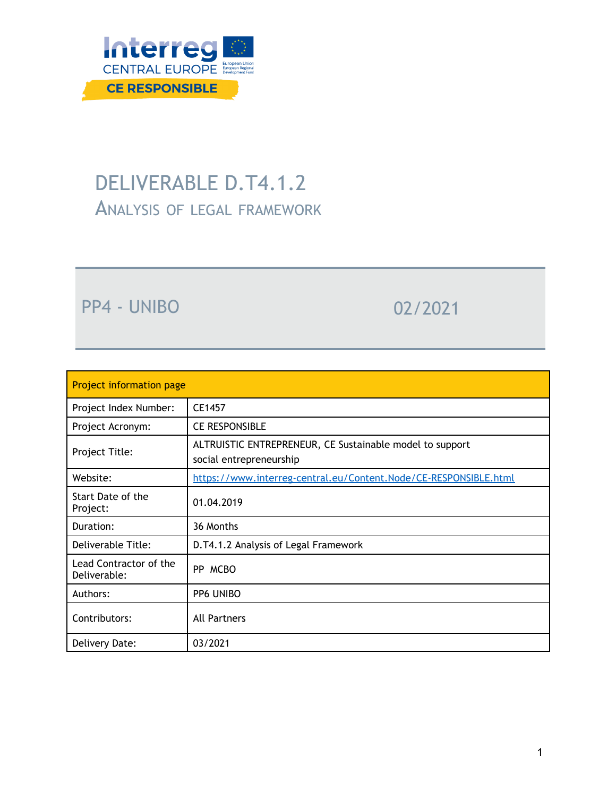

# DELIVERABLE D.T4.1.2 ANALYSIS OF LEGAL FRAMEWORK

PP4 - UNIBO 02/2021

| <b>Project information page</b>        |                                                                                     |
|----------------------------------------|-------------------------------------------------------------------------------------|
| Project Index Number:                  | CE1457                                                                              |
| Project Acronym:                       | <b>CE RESPONSIBLE</b>                                                               |
| Project Title:                         | ALTRUISTIC ENTREPRENEUR, CE Sustainable model to support<br>social entrepreneurship |
| Website:                               | https://www.interreg-central.eu/Content.Node/CE-RESPONSIBLE.html                    |
| Start Date of the<br>Project:          | 01.04.2019                                                                          |
| Duration:                              | 36 Months                                                                           |
| Deliverable Title:                     | D.T4.1.2 Analysis of Legal Framework                                                |
| Lead Contractor of the<br>Deliverable: | PP MCBO                                                                             |
| Authors:                               | PP6 UNIBO                                                                           |
| Contributors:                          | All Partners                                                                        |
| Delivery Date:                         | 03/2021                                                                             |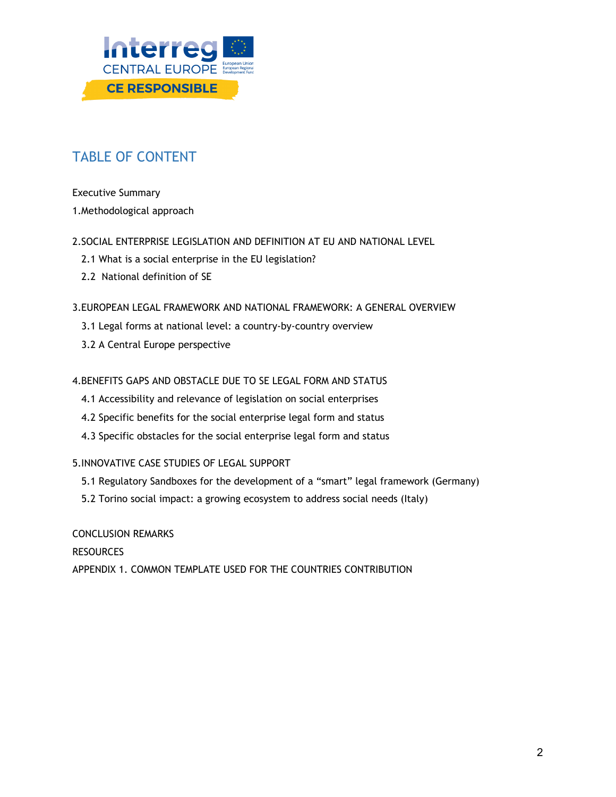

# TABLE OF CONTENT

Executive Summary

1.Methodological approach

2.SOCIAL ENTERPRISE LEGISLATION AND DEFINITION AT EU AND NATIONAL LEVEL

- 2.1 What is a social enterprise in the EU legislation?
- 2.2 National definition of SE
- 3.EUROPEAN LEGAL FRAMEWORK AND NATIONAL FRAMEWORK: A GENERAL OVERVIEW
	- 3.1 Legal forms at national level: a country-by-country overview
	- 3.2 A Central Europe perspective

#### 4.BENEFITS GAPS AND OBSTACLE DUE TO SE LEGAL FORM AND STATUS

- 4.1 Accessibility and relevance of legislation on social enterprises
- 4.2 Specific benefits for the social enterprise legal form and status
- 4.3 Specific obstacles for the social enterprise legal form and status

#### 5.INNOVATIVE CASE STUDIES OF LEGAL SUPPORT

- 5.1 Regulatory Sandboxes for the development of a "smart" legal framework (Germany)
- 5.2 Torino social impact: a growing ecosystem to address social needs (Italy)

CONCLUSION REMARKS

RESOURCES

APPENDIX 1. COMMON TEMPLATE USED FOR THE COUNTRIES CONTRIBUTION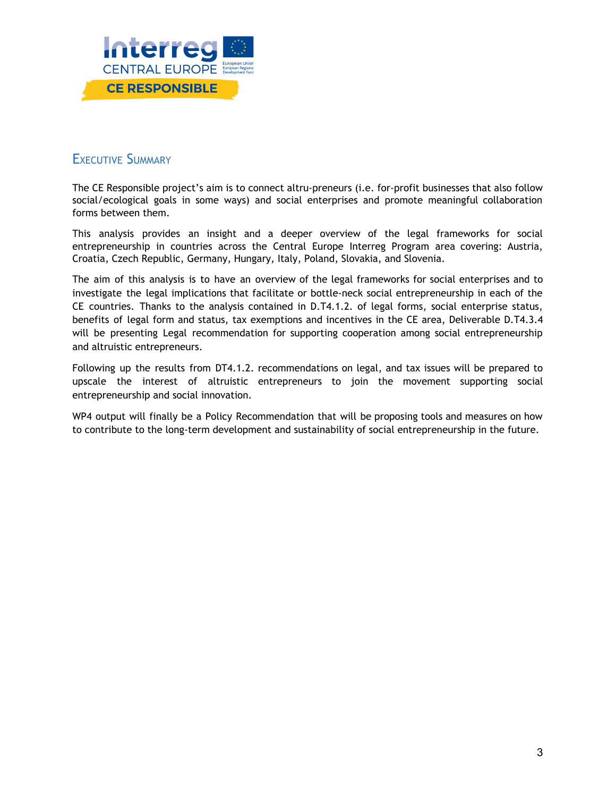

### EXECUTIVE SUMMARY

The CE Responsible project's aim is to connect altru-preneurs (i.e. for-profit businesses that also follow social/ecological goals in some ways) and social enterprises and promote meaningful collaboration forms between them.

This analysis provides an insight and a deeper overview of the legal frameworks for social entrepreneurship in countries across the Central Europe Interreg Program area covering: Austria, Croatia, Czech Republic, Germany, Hungary, Italy, Poland, Slovakia, and Slovenia.

The aim of this analysis is to have an overview of the legal frameworks for social enterprises and to investigate the legal implications that facilitate or bottle-neck social entrepreneurship in each of the CE countries. Thanks to the analysis contained in D.T4.1.2. of legal forms, social enterprise status, benefits of legal form and status, tax exemptions and incentives in the CE area, Deliverable D.T4.3.4 will be presenting Legal recommendation for supporting cooperation among social entrepreneurship and altruistic entrepreneurs.

Following up the results from DT4.1.2. recommendations on legal, and tax issues will be prepared to upscale the interest of altruistic entrepreneurs to join the movement supporting social entrepreneurship and social innovation.

WP4 output will finally be a Policy Recommendation that will be proposing tools and measures on how to contribute to the long-term development and sustainability of social entrepreneurship in the future.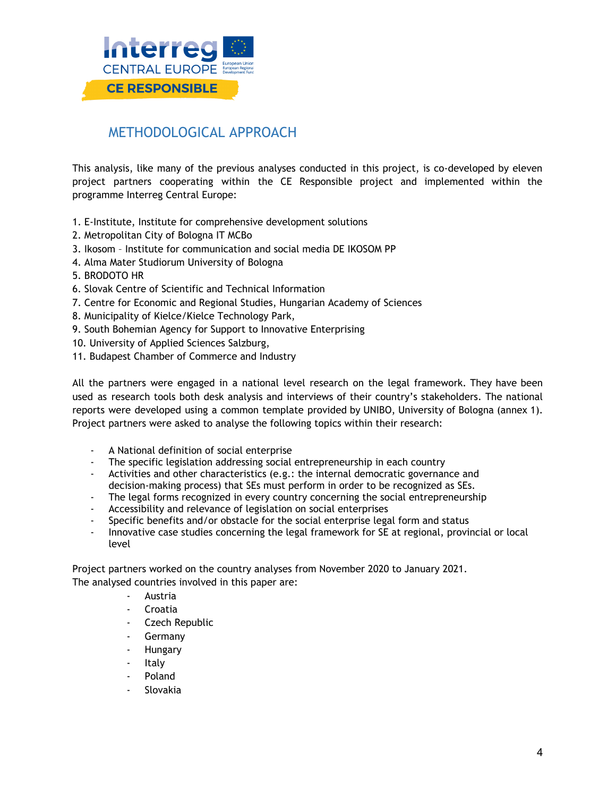

## METHODOLOGICAL APPROACH

This analysis, like many of the previous analyses conducted in this project, is co-developed by eleven project partners cooperating within the CE Responsible project and implemented within the programme Interreg Central Europe:

- 1. E-Institute, Institute for comprehensive development solutions
- 2. Metropolitan City of Bologna IT MCBo
- 3. Ikosom Institute for communication and social media DE IKOSOM PP
- 4. Alma Mater Studiorum University of Bologna
- 5. BRODOTO HR
- 6. Slovak Centre of Scientific and Technical Information
- 7. Centre for Economic and Regional Studies, Hungarian Academy of Sciences
- 8. Municipality of Kielce/Kielce Technology Park,
- 9. South Bohemian Agency for Support to Innovative Enterprising
- 10. University of Applied Sciences Salzburg,
- 11. Budapest Chamber of Commerce and Industry

All the partners were engaged in a national level research on the legal framework. They have been used as research tools both desk analysis and interviews of their country's stakeholders. The national reports were developed using a common template provided by UNIBO, University of Bologna (annex 1). Project partners were asked to analyse the following topics within their research:

- A National definition of social enterprise
- The specific legislation addressing social entrepreneurship in each country
- Activities and other characteristics (e.g.: the internal democratic governance and decision-making process) that SEs must perform in order to be recognized as SEs.
- The legal forms recognized in every country concerning the social entrepreneurship
- Accessibility and relevance of legislation on social enterprises
- Specific benefits and/or obstacle for the social enterprise legal form and status
- Innovative case studies concerning the legal framework for SE at regional, provincial or local level

Project partners worked on the country analyses from November 2020 to January 2021. The analysed countries involved in this paper are:

- **Austria**
- Croatia
- Czech Republic
- **Germany**
- **Hungary**
- Italy
- Poland
- **Slovakia**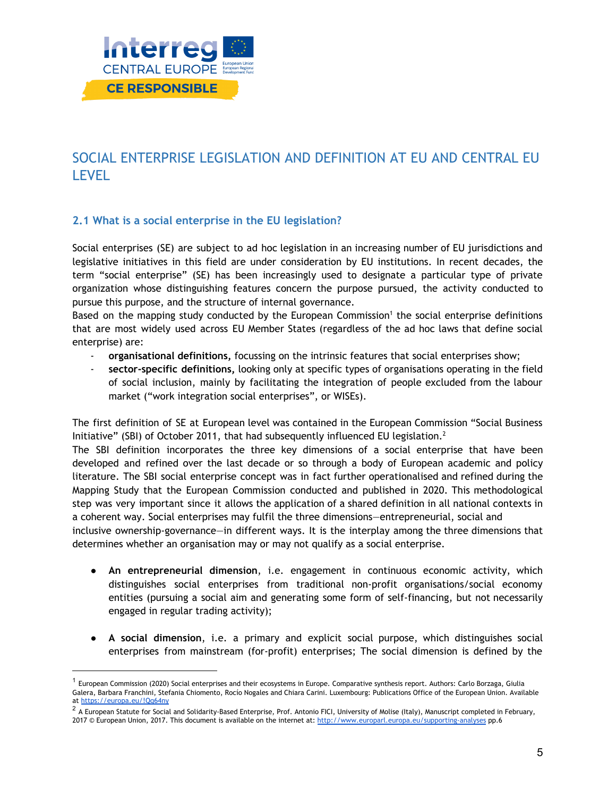

# SOCIAL ENTERPRISE LEGISLATION AND DEFINITION AT EU AND CENTRAL EU LEVEL

#### **2.1 What is a social enterprise in the EU legislation?**

Social enterprises (SE) are subject to ad hoc legislation in an increasing number of EU jurisdictions and legislative initiatives in this field are under consideration by EU institutions. In recent decades, the term "social enterprise" (SE) has been increasingly used to designate a particular type of private organization whose distinguishing features concern the purpose pursued, the activity conducted to pursue this purpose, and the structure of internal governance.

Based on the mapping study conducted by the European Commission <sup>1</sup> the social enterprise definitions that are most widely used across EU Member States (regardless of the ad hoc laws that define social enterprise) are:

- **organisational definitions,** focussing on the intrinsic features that social enterprises show;
- **sector-specific definitions,** looking only at specific types of organisations operating in the field of social inclusion, mainly by facilitating the integration of people excluded from the labour market ("work integration social enterprises", or WISEs).

The first definition of SE at European level was contained in the European Commission "Social Business Initiative" (SBI) of October 2011, that had subsequently influenced EU legislation.<sup>2</sup>

The SBI definition incorporates the three key dimensions of a social enterprise that have been developed and refined over the last decade or so through a body of European academic and policy literature. The SBI social enterprise concept was in fact further operationalised and refined during the Mapping Study that the European Commission conducted and published in 2020. This methodological step was very important since it allows the application of a shared definition in all national contexts in a coherent way. Social enterprises may fulfil the three dimensions—entrepreneurial, social and inclusive ownership-governance—in different ways. It is the interplay among the three dimensions that determines whether an organisation may or may not qualify as a social enterprise.

- **An entrepreneurial dimension**, i.e. engagement in continuous economic activity, which distinguishes social enterprises from traditional non-profit organisations/social economy entities (pursuing a social aim and generating some form of self-financing, but not necessarily engaged in regular trading activity);
- **A social dimension**, i.e. a primary and explicit social purpose, which distinguishes social enterprises from mainstream (for-profit) enterprises; The social dimension is defined by the

 $^{\rm 1}$  European Commission (2020) Social enterprises and their ecosystems in Europe. Comparative synthesis report. Authors: Carlo Borzaga, Giulia Galera, Barbara Franchini, Stefania Chiomento, Rocío Nogales and Chiara Carini. Luxembourg: Publications Office of the European Union. Available at <https://europa.eu/!Qq64ny>

 $^2$  A European Statute for Social and Solidarity-Based Enterprise, Prof. Antonio FICI, University of Molise (Italy), Manuscript completed in February, 2017 © European Union, 2017. This document is available on the internet at: <http://www.europarl.europa.eu/supporting-analyses> pp.6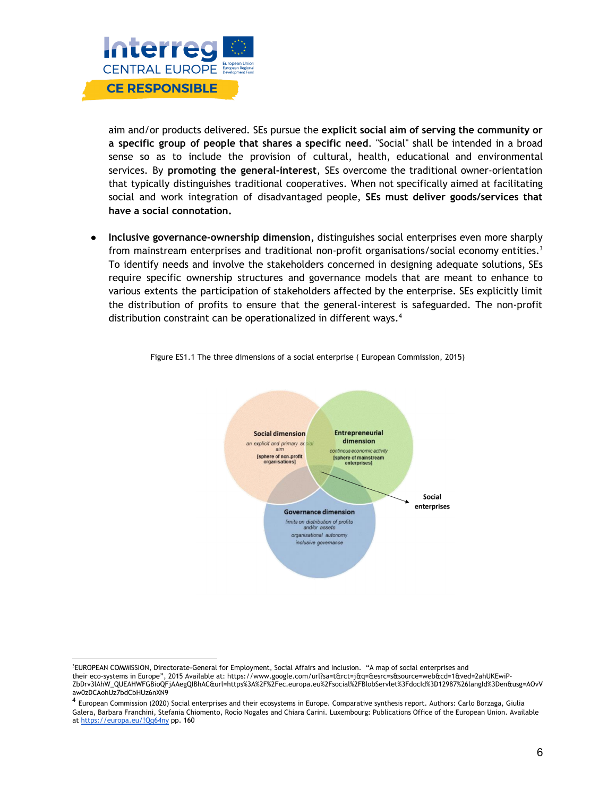

aim and/or products delivered. SEs pursue the **explicit social aim of serving the community or a specific group of people that shares a specific need**. "Social" shall be intended in a broad sense so as to include the provision of cultural, health, educational and environmental services. By **promoting the general-interest**, SEs overcome the traditional owner-orientation that typically distinguishes traditional cooperatives. When not specifically aimed at facilitating social and work integration of disadvantaged people, **SEs must deliver goods/services that have a social connotation.**

● **Inclusive governance-ownership dimension,** distinguishes social enterprises even more sharply from mainstream enterprises and traditional non-profit organisations/social economy entities. $^3$ To identify needs and involve the stakeholders concerned in designing adequate solutions, SEs require specific ownership structures and governance models that are meant to enhance to various extents the participation of stakeholders affected by the enterprise. SEs explicitly limit the distribution of profits to ensure that the general-interest is safeguarded. The non-profit distribution constraint can be operationalized in different ways. 4



Figure ES1.1 The three dimensions of a social enterprise ( European Commission, 2015)

<sup>3</sup>EUROPEAN COMMISSION, Directorate-General for Employment, Social Affairs and Inclusion. "A map of social enterprises and their eco-systems in Europe", 2015 Available at: https://www.google.com/url?sa=t&rct=j&q=&esrc=s&source=web&cd=1&ved=2ahUKEwiP-ZbDrv3lAhW\_QUEAHWFGBioQFjAAegQIBhAC&url=https%3A%2F%2Fec.europa.eu%2Fsocial%2FBlobServlet%3FdocId%3D12987%26langId%3Den&usg=AOvV aw0zDCAohUz7bdCbHUz6nXN9

<sup>4</sup> European Commission (2020) Social enterprises and their ecosystems in Europe. Comparative synthesis report. Authors: Carlo Borzaga, Giulia Galera, Barbara Franchini, Stefania Chiomento, Rocío Nogales and Chiara Carini. Luxembourg: Publications Office of the European Union. Available at <https://europa.eu/!Qq64ny> pp. 160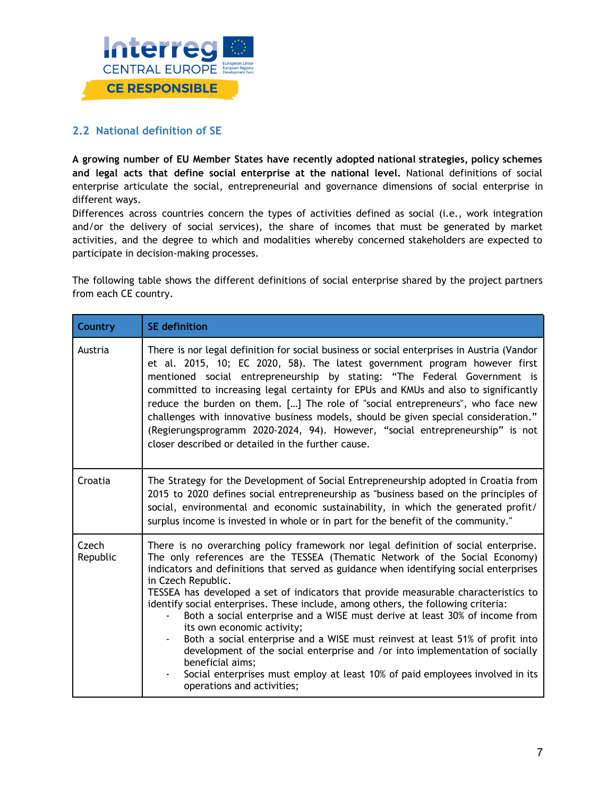

#### **2.2 National definition of SE**

**A growing number of EU Member States have recently adopted national strategies, policy schemes and legal acts that define social enterprise at the national level.** National definitions of social enterprise articulate the social, entrepreneurial and governance dimensions of social enterprise in different ways.

Differences across countries concern the types of activities defined as social (i.e., work integration and/or the delivery of social services), the share of incomes that must be generated by market activities, and the degree to which and modalities whereby concerned stakeholders are expected to participate in decision-making processes.

The following table shows the different definitions of social enterprise shared by the project partners from each CE country.

| Country           | <b>SE</b> definition                                                                                                                                                                                                                                                                                                                                                                                                                                                                                                                                                                                                                                                                                                                                                                                                                                                            |
|-------------------|---------------------------------------------------------------------------------------------------------------------------------------------------------------------------------------------------------------------------------------------------------------------------------------------------------------------------------------------------------------------------------------------------------------------------------------------------------------------------------------------------------------------------------------------------------------------------------------------------------------------------------------------------------------------------------------------------------------------------------------------------------------------------------------------------------------------------------------------------------------------------------|
| Austria           | There is nor legal definition for social business or social enterprises in Austria (Vandor<br>et al. 2015, 10; EC 2020, 58). The latest government program however first<br>mentioned social entrepreneurship by stating: "The Federal Government is<br>committed to increasing legal certainty for EPUs and KMUs and also to significantly<br>reduce the burden on them. [] The role of "social entrepreneurs", who face new<br>challenges with innovative business models, should be given special consideration."<br>(Regierungsprogramm 2020-2024, 94). However, "social entrepreneurship" is not<br>closer described or detailed in the further cause.                                                                                                                                                                                                                     |
| Croatia           | The Strategy for the Development of Social Entrepreneurship adopted in Croatia from<br>2015 to 2020 defines social entrepreneurship as "business based on the principles of<br>social, environmental and economic sustainability, in which the generated profit/<br>surplus income is invested in whole or in part for the benefit of the community."                                                                                                                                                                                                                                                                                                                                                                                                                                                                                                                           |
| Czech<br>Republic | There is no overarching policy framework nor legal definition of social enterprise.<br>The only references are the TESSEA (Thematic Network of the Social Economy)<br>indicators and definitions that served as guidance when identifying social enterprises<br>in Czech Republic.<br>TESSEA has developed a set of indicators that provide measurable characteristics to<br>identify social enterprises. These include, among others, the following criteria:<br>Both a social enterprise and a WISE must derive at least 30% of income from<br>its own economic activity;<br>Both a social enterprise and a WISE must reinvest at least 51% of profit into<br>development of the social enterprise and /or into implementation of socially<br>beneficial aims;<br>Social enterprises must employ at least 10% of paid employees involved in its<br>operations and activities; |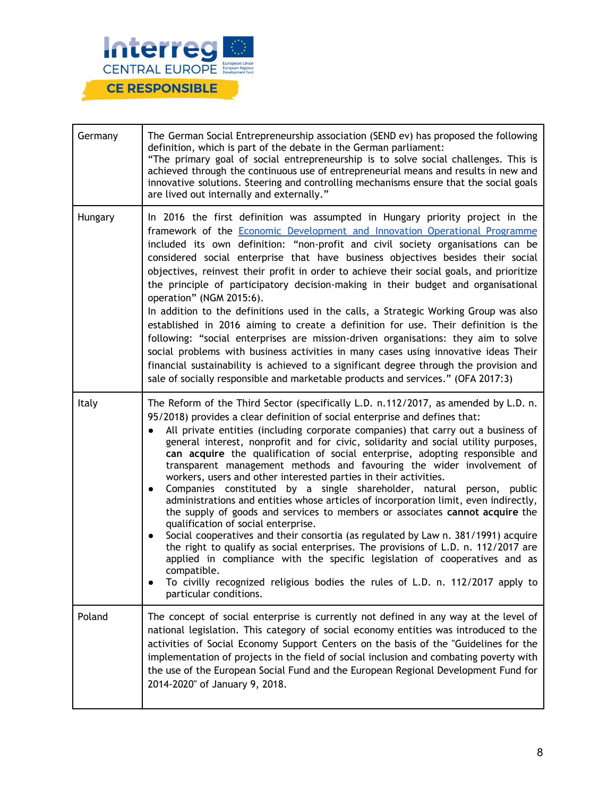

| Germany | The German Social Entrepreneurship association (SEND ev) has proposed the following<br>definition, which is part of the debate in the German parliament:<br>"The primary goal of social entrepreneurship is to solve social challenges. This is<br>achieved through the continuous use of entrepreneurial means and results in new and<br>innovative solutions. Steering and controlling mechanisms ensure that the social goals<br>are lived out internally and externally."                                                                                                                                                                                                                                                                                                                                                                                                                                                                                                                                                                                                                                                                                                                                                                                                   |
|---------|---------------------------------------------------------------------------------------------------------------------------------------------------------------------------------------------------------------------------------------------------------------------------------------------------------------------------------------------------------------------------------------------------------------------------------------------------------------------------------------------------------------------------------------------------------------------------------------------------------------------------------------------------------------------------------------------------------------------------------------------------------------------------------------------------------------------------------------------------------------------------------------------------------------------------------------------------------------------------------------------------------------------------------------------------------------------------------------------------------------------------------------------------------------------------------------------------------------------------------------------------------------------------------|
| Hungary | In 2016 the first definition was assumpted in Hungary priority project in the<br>framework of the Economic Development and Innovation Operational Programme<br>included its own definition: "non-profit and civil society organisations can be<br>considered social enterprise that have business objectives besides their social<br>objectives, reinvest their profit in order to achieve their social goals, and prioritize<br>the principle of participatory decision-making in their budget and organisational<br>operation" (NGM 2015:6).<br>In addition to the definitions used in the calls, a Strategic Working Group was also<br>established in 2016 aiming to create a definition for use. Their definition is the<br>following: "social enterprises are mission-driven organisations: they aim to solve<br>social problems with business activities in many cases using innovative ideas Their<br>financial sustainability is achieved to a significant degree through the provision and<br>sale of socially responsible and marketable products and services." (OFA 2017:3)                                                                                                                                                                                         |
| Italy   | The Reform of the Third Sector (specifically L.D. n.112/2017, as amended by L.D. n.<br>95/2018) provides a clear definition of social enterprise and defines that:<br>All private entities (including corporate companies) that carry out a business of<br>general interest, nonprofit and for civic, solidarity and social utility purposes,<br>can acquire the qualification of social enterprise, adopting responsible and<br>transparent management methods and favouring the wider involvement of<br>workers, users and other interested parties in their activities.<br>Companies constituted by a single shareholder, natural person, public<br>$\bullet$<br>administrations and entities whose articles of incorporation limit, even indirectly,<br>the supply of goods and services to members or associates cannot acquire the<br>qualification of social enterprise.<br>Social cooperatives and their consortia (as regulated by Law n. 381/1991) acquire<br>$\bullet$<br>the right to qualify as social enterprises. The provisions of L.D. n. 112/2017 are<br>applied in compliance with the specific legislation of cooperatives and as<br>compatible.<br>To civilly recognized religious bodies the rules of L.D. n. 112/2017 apply to<br>particular conditions. |
| Poland  | The concept of social enterprise is currently not defined in any way at the level of<br>national legislation. This category of social economy entities was introduced to the<br>activities of Social Economy Support Centers on the basis of the "Guidelines for the<br>implementation of projects in the field of social inclusion and combating poverty with<br>the use of the European Social Fund and the European Regional Development Fund for<br>2014-2020" of January 9, 2018.                                                                                                                                                                                                                                                                                                                                                                                                                                                                                                                                                                                                                                                                                                                                                                                          |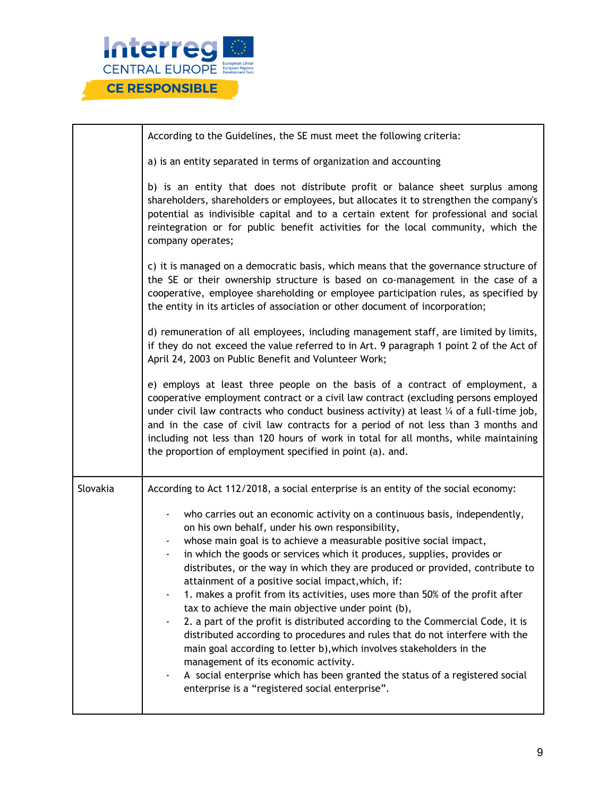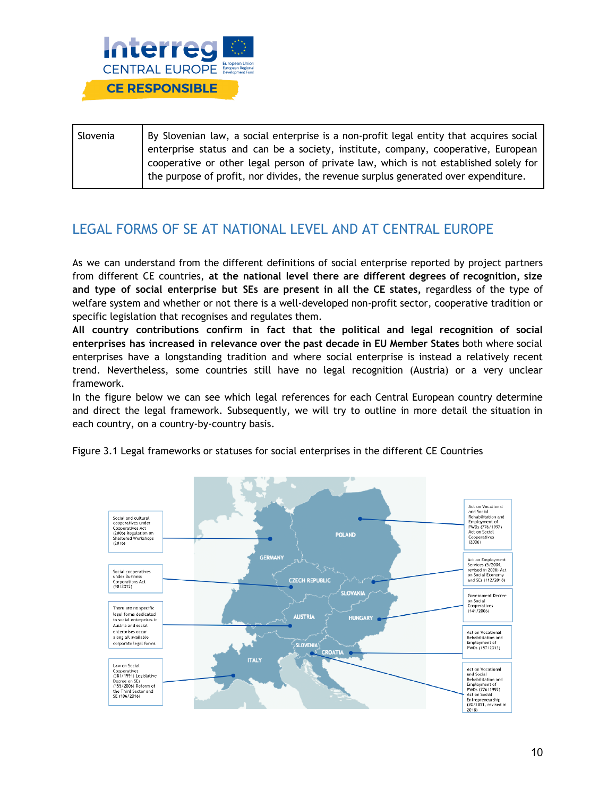

| Slovenia | By Slovenian law, a social enterprise is a non-profit legal entity that acquires social |
|----------|-----------------------------------------------------------------------------------------|
|          | enterprise status and can be a society, institute, company, cooperative, European       |
|          | cooperative or other legal person of private law, which is not established solely for   |
|          | the purpose of profit, nor divides, the revenue surplus generated over expenditure.     |

# LEGAL FORMS OF SE AT NATIONAL LEVEL AND AT CENTRAL EUROPE

As we can understand from the different definitions of social enterprise reported by project partners from different CE countries, **at the national level there are different degrees of recognition, size and type of social enterprise but SEs are present in all the CE states,** regardless of the type of welfare system and whether or not there is a well-developed non-profit sector, cooperative tradition or specific legislation that recognises and regulates them.

**All country contributions confirm in fact that the political and legal recognition of social enterprises has increased in relevance over the past decade in EU Member States** both where social enterprises have a longstanding tradition and where social enterprise is instead a relatively recent trend. Nevertheless, some countries still have no legal recognition (Austria) or a very unclear framework.

In the figure below we can see which legal references for each Central European country determine and direct the legal framework. Subsequently, we will try to outline in more detail the situation in each country, on a country-by-country basis.



Figure 3.1 Legal frameworks or statuses for social enterprises in the different CE Countries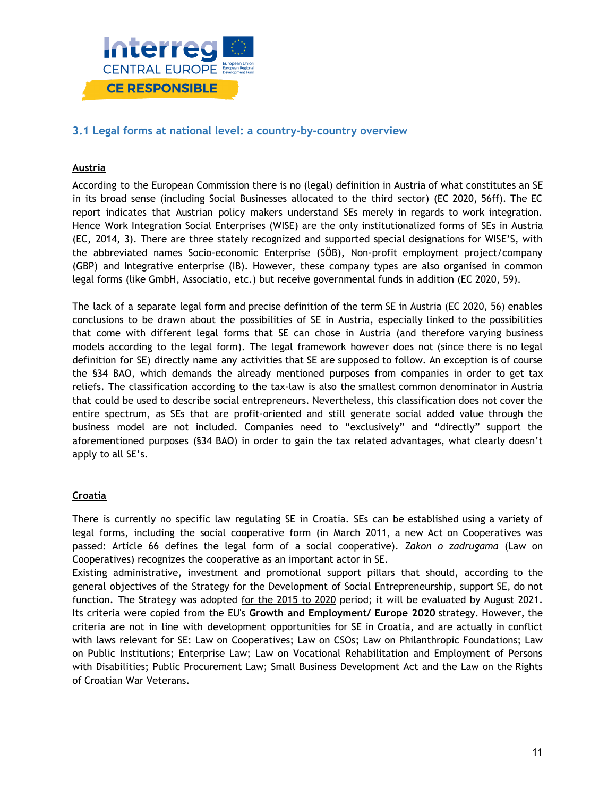

#### **3.1 Legal forms at national level: a country-by-country overview**

#### **Austria**

According to the European Commission there is no (legal) definition in Austria of what constitutes an SE in its broad sense (including Social Businesses allocated to the third sector) (EC 2020, 56ff). The EC report indicates that Austrian policy makers understand SEs merely in regards to work integration. Hence Work Integration Social Enterprises (WISE) are the only institutionalized forms of SEs in Austria (EC, 2014, 3). There are three stately recognized and supported special designations for WISE'S, with the abbreviated names Socio-economic Enterprise (SÖB), Non-profit employment project/company (GBP) and Integrative enterprise (IB). However, these company types are also organised in common legal forms (like GmbH, Associatio, etc.) but receive governmental funds in addition (EC 2020, 59).

The lack of a separate legal form and precise definition of the term SE in Austria (EC 2020, 56) enables conclusions to be drawn about the possibilities of SE in Austria, especially linked to the possibilities that come with different legal forms that SE can chose in Austria (and therefore varying business models according to the legal form). The legal framework however does not (since there is no legal definition for SE) directly name any activities that SE are supposed to follow. An exception is of course the §34 BAO, which demands the already mentioned purposes from companies in order to get tax reliefs. The classification according to the tax-law is also the smallest common denominator in Austria that could be used to describe social entrepreneurs. Nevertheless, this classification does not cover the entire spectrum, as SEs that are profit-oriented and still generate social added value through the business model are not included. Companies need to "exclusively" and "directly" support the aforementioned purposes (§34 BAO) in order to gain the tax related advantages, what clearly doesn't apply to all SE's.

#### **Croatia**

There is currently no specific law regulating SE in Croatia. SEs can be established using a variety of legal forms, including the social cooperative form (in March 2011, a new Act on Cooperatives was passed: Article 66 defines the legal form of a social cooperative). *Zakon o zadrugama* (Law on Cooperatives) recognizes the cooperative as an important actor in SE.

Existing administrative, investment and promotional support pillars that should, according to the general objectives of the Strategy for the Development of Social Entrepreneurship, support SE, do not function. The Strategy was adopted for the [2015](http://www.esf.hr/wordpress/wp-content/uploads/2015/02/Strategija-razvoja-dru%C5%A1tvenog-poduzetni%C5%A1tva-u-RH-za-razdoblje-2015-2020.pdf) to 2020 period; it will be evaluated by August 2021. Its criteria were copied from the EU's **Growth and Employment/ Europe 2020** strategy. However, the criteria are not in line with development opportunities for SE in Croatia, and are actually in conflict with laws relevant for SE: Law on Cooperatives; Law on CSOs; Law on Philanthropic Foundations; Law on Public Institutions; Enterprise Law; Law on Vocational Rehabilitation and Employment of Persons with Disabilities; Public Procurement Law; Small Business Development Act and the Law on the Rights of Croatian War Veterans.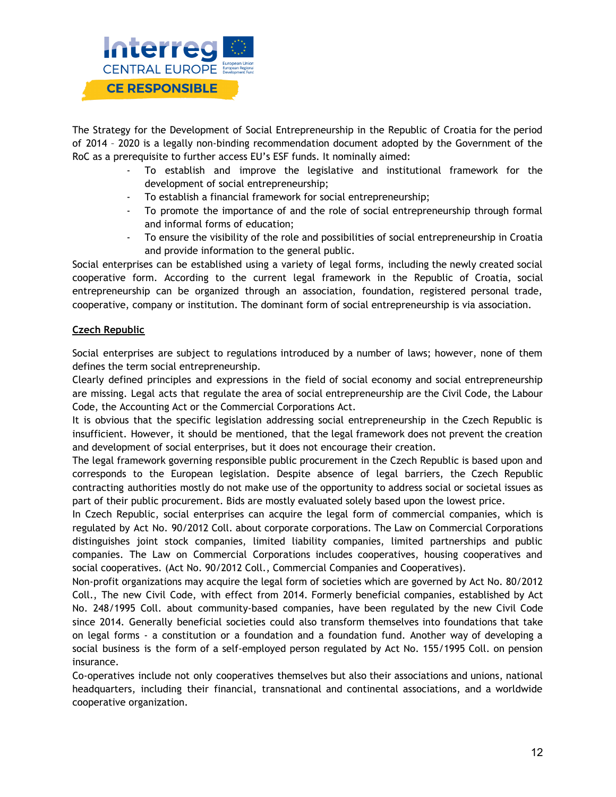

The Strategy for the Development of Social Entrepreneurship in the Republic of Croatia for the period of 2014 – 2020 is a legally non-binding recommendation document adopted by the Government of the RoC as a prerequisite to further access EU's ESF funds. It nominally aimed:

- To establish and improve the legislative and institutional framework for the development of social entrepreneurship;
- To establish a financial framework for social entrepreneurship;
- To promote the importance of and the role of social entrepreneurship through formal and informal forms of education;
- To ensure the visibility of the role and possibilities of social entrepreneurship in Croatia and provide information to the general public.

Social enterprises can be established using a variety of legal forms, including the newly created social cooperative form. According to the current legal framework in the Republic of Croatia, social entrepreneurship can be organized through an association, foundation, registered personal trade, cooperative, company or institution. The dominant form of social entrepreneurship is via association.

#### **Czech Republic**

Social enterprises are subject to regulations introduced by a number of laws; however, none of them defines the term social entrepreneurship.

Clearly defined principles and expressions in the field of social economy and social entrepreneurship are missing. Legal acts that regulate the area of social entrepreneurship are the Civil Code, the Labour Code, the Accounting Act or the Commercial Corporations Act.

It is obvious that the specific legislation addressing social entrepreneurship in the Czech Republic is insufficient. However, it should be mentioned, that the legal framework does not prevent the creation and development of social enterprises, but it does not encourage their creation.

The legal framework governing responsible public procurement in the Czech Republic is based upon and corresponds to the European legislation. Despite absence of legal barriers, the Czech Republic contracting authorities mostly do not make use of the opportunity to address social or societal issues as part of their public procurement. Bids are mostly evaluated solely based upon the lowest price.

In Czech Republic, social enterprises can acquire the legal form of commercial companies, which is regulated by Act No. 90/2012 Coll. about corporate corporations. The Law on Commercial Corporations distinguishes joint stock companies, limited liability companies, limited partnerships and public companies. The Law on Commercial Corporations includes cooperatives, housing cooperatives and social cooperatives. (Act No. 90/2012 Coll., Commercial Companies and Cooperatives).

Non-profit organizations may acquire the legal form of societies which are governed by Act No. 80/2012 Coll., The new Civil Code, with effect from 2014. Formerly beneficial companies, established by Act No. 248/1995 Coll. about community-based companies, have been regulated by the new Civil Code since 2014. Generally beneficial societies could also transform themselves into foundations that take on legal forms - a constitution or a foundation and a foundation fund. Another way of developing a social business is the form of a self-employed person regulated by Act No. 155/1995 Coll. on pension insurance.

Co-operatives include not only cooperatives themselves but also their associations and unions, national headquarters, including their financial, transnational and continental associations, and a worldwide cooperative organization.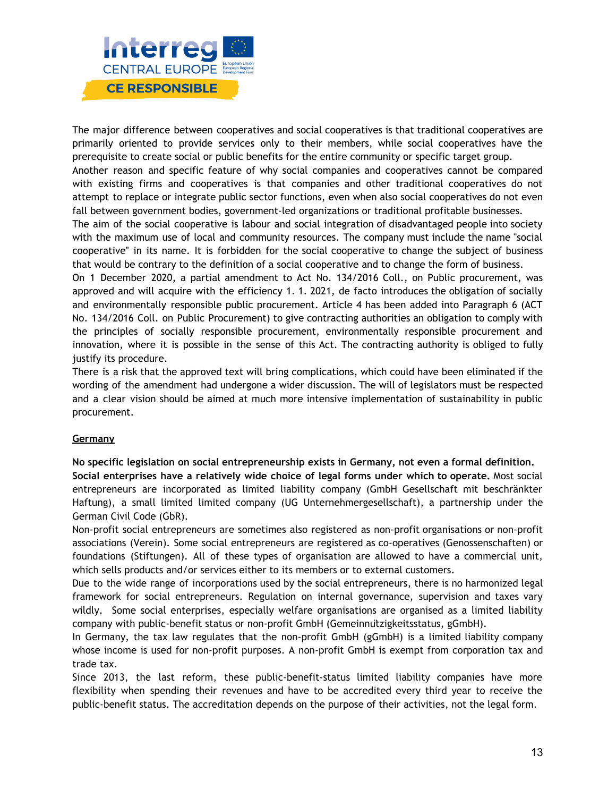

The major difference between cooperatives and social cooperatives is that traditional cooperatives are primarily oriented to provide services only to their members, while social cooperatives have the prerequisite to create social or public benefits for the entire community or specific target group.

Another reason and specific feature of why social companies and cooperatives cannot be compared with existing firms and cooperatives is that companies and other traditional cooperatives do not attempt to replace or integrate public sector functions, even when also social cooperatives do not even fall between government bodies, government-led organizations or traditional profitable businesses.

The aim of the social cooperative is labour and social integration of disadvantaged people into society with the maximum use of local and community resources. The company must include the name "social cooperative" in its name. It is forbidden for the social cooperative to change the subject of business that would be contrary to the definition of a social cooperative and to change the form of business.

On 1 December 2020, a partial amendment to Act No. 134/2016 Coll., on Public procurement, was approved and will acquire with the efficiency 1. 1. 2021, de facto introduces the obligation of socially and environmentally responsible public procurement. Article 4 has been added into Paragraph 6 (ACT No. 134/2016 Coll. on Public Procurement) to give contracting authorities an obligation to comply with the principles of socially responsible procurement, environmentally responsible procurement and innovation, where it is possible in the sense of this Act. The contracting authority is obliged to fully justify its procedure.

There is a risk that the approved text will bring complications, which could have been eliminated if the wording of the amendment had undergone a wider discussion. The will of legislators must be respected and a clear vision should be aimed at much more intensive implementation of sustainability in public procurement.

#### **Germany**

**No specific legislation on social entrepreneurship exists in Germany, not even a formal definition.**

**Social enterprises have a relatively wide choice of legal forms under which to operate.** Most social entrepreneurs are incorporated as limited liability company (GmbH Gesellschaft mit beschränkter Haftung), a small limited limited company (UG Unternehmergesellschaft), a partnership under the German Civil Code (GbR).

Non-profit social entrepreneurs are sometimes also registered as non-profit organisations or non-profit associations (Verein). Some social entrepreneurs are registered as co-operatives (Genossenschaften) or foundations (Stiftungen). All of these types of organisation are allowed to have a commercial unit, which sells products and/or services either to its members or to external customers.

Due to the wide range of incorporations used by the social entrepreneurs, there is no harmonized legal framework for social entrepreneurs. Regulation on internal governance, supervision and taxes vary wildly. Some social enterprises, especially welfare organisations are organised as a limited liability company with public-benefit status or non-profit GmbH (Gemeinnützigkeitsstatus, gGmbH).

In Germany, the tax law regulates that the non-profit GmbH (gGmbH) is a limited liability company whose income is used for non-profit purposes. A non-profit GmbH is exempt from corporation tax and trade tax.

Since 2013, the last reform, these public-benefit-status limited liability companies have more flexibility when spending their revenues and have to be accredited every third year to receive the public-benefit status. The accreditation depends on the purpose of their activities, not the legal form.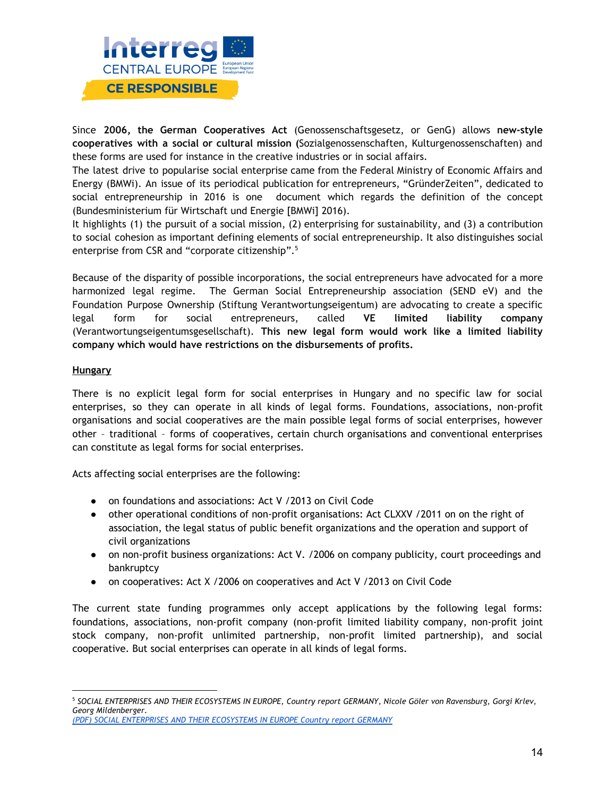

Since **2006, the German Cooperatives Act** (Genossenschaftsgesetz, or GenG) allows **new-style cooperatives with a social or cultural mission (**Sozialgenossenschaften, Kulturgenossenschaften) and these forms are used for instance in the creative industries or in social affairs.

The latest drive to popularise social enterprise came from the Federal Ministry of Economic Affairs and Energy (BMWi). An issue of its periodical publication for entrepreneurs, "GründerZeiten", dedicated to social entrepreneurship in 2016 is one document which regards the definition of the concept (Bundesministerium für Wirtschaft und Energie [BMWi] 2016).

It highlights (1) the pursuit of a social mission, (2) enterprising for sustainability, and (3) a contribution to social cohesion as important defining elements of social entrepreneurship. It also distinguishes social enterprise from CSR and "corporate citizenship". 5

Because of the disparity of possible incorporations, the social entrepreneurs have advocated for a more harmonized legal regime. The German Social Entrepreneurship association (SEND eV) and the Foundation Purpose Ownership (Stiftung Verantwortungseigentum) are advocating to create a specific legal form for social entrepreneurs, called **VE limited liability company** (Verantwortungseigentumsgesellschaft). **This new legal form would work like a limited liability company which would have restrictions on the disbursements of profits.**

#### **Hungary**

There is no explicit legal form for social enterprises in Hungary and no specific law for social enterprises, so they can operate in all kinds of legal forms. Foundations, associations, non-profit organisations and social cooperatives are the main possible legal forms of social enterprises, however other – traditional – forms of cooperatives, certain church organisations and conventional enterprises can constitute as legal forms for social enterprises.

Acts affecting social enterprises are the following:

- on foundations and associations: Act V /2013 on Civil Code
- other operational conditions of non-profit organisations: Act CLXXV /2011 on on the right of association, the legal status of public benefit organizations and the operation and support of civil organizations
- on non-profit business organizations: Act V. / 2006 on company publicity, court proceedings and bankruptcy
- on cooperatives: Act X /2006 on cooperatives and Act V /2013 on Civil Code

The current state funding programmes only accept applications by the following legal forms: foundations, associations, non-profit company (non-profit limited liability company, non-profit joint stock company, non-profit unlimited partnership, non-profit limited partnership), and social cooperative. But social enterprises can operate in all kinds of legal forms.

<sup>&</sup>lt;sup>5</sup> SOCIAL ENTERPRISES AND THEIR ECOSYSTEMS IN EUROPE, Country report GERMANY, Nicole Göler von Ravensburg, Gorgi Krlev, *Georg Mildenberger.*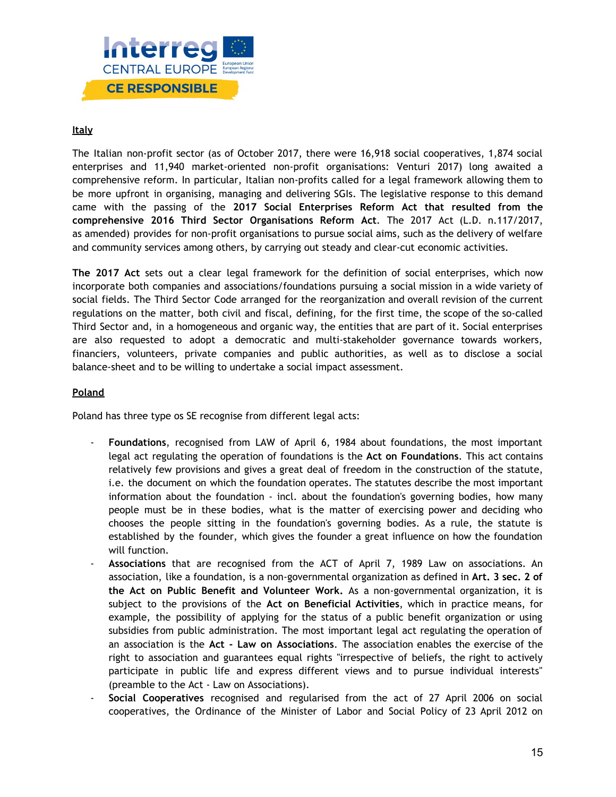

#### **Italy**

The Italian non-profit sector (as of October 2017, there were 16,918 social cooperatives, 1,874 social enterprises and 11,940 market-oriented non-profit organisations: Venturi 2017) long awaited a comprehensive reform. In particular, Italian non-profits called for a legal framework allowing them to be more upfront in organising, managing and delivering SGIs. The legislative response to this demand came with the passing of the **2017 Social Enterprises Reform Act that resulted from the comprehensive 2016 Third Sector Organisations Reform Act**. The 2017 Act (L.D. n.117/2017, as amended) provides for non-profit organisations to pursue social aims, such as the delivery of welfare and community services among others, by carrying out steady and clear-cut economic activities.

**The 2017 Act** sets out a clear legal framework for the definition of social enterprises, which now incorporate both companies and associations/foundations pursuing a social mission in a wide variety of social fields. The Third Sector Code arranged for the reorganization and overall revision of the current regulations on the matter, both civil and fiscal, defining, for the first time, the scope of the so-called Third Sector and, in a homogeneous and organic way, the entities that are part of it. Social enterprises are also requested to adopt a democratic and multi-stakeholder governance towards workers, financiers, volunteers, private companies and public authorities, as well as to disclose a social balance-sheet and to be willing to undertake a social impact assessment.

#### **Poland**

Poland has three type os SE recognise from different legal acts:

- **Foundations**, recognised from LAW of April 6, 1984 about foundations, the most important legal act regulating the operation of foundations is the **Act on Foundations**. This act contains relatively few provisions and gives a great deal of freedom in the construction of the statute, i.e. the document on which the foundation operates. The statutes describe the most important information about the foundation - incl. about the foundation's governing bodies, how many people must be in these bodies, what is the matter of exercising power and deciding who chooses the people sitting in the foundation's governing bodies. As a rule, the statute is established by the founder, which gives the founder a great influence on how the foundation will function.
- **Associations** that are recognised from the ACT of April 7, 1989 Law on associations. An association, like a foundation, is a non-governmental organization as defined in **Art. 3 sec. 2 of the Act on Public Benefit and Volunteer Work.** As a non-governmental organization, it is subject to the provisions of the **Act on Beneficial Activities**, which in practice means, for example, the possibility of applying for the status of a public benefit organization or using subsidies from public administration. The most important legal act regulating the operation of an association is the **Act - Law on Associations**. The association enables the exercise of the right to association and guarantees equal rights "irrespective of beliefs, the right to actively participate in public life and express different views and to pursue individual interests" (preamble to the Act - Law on Associations).
- **Social Cooperatives** recognised and regularised from the act of 27 April 2006 on social cooperatives, the Ordinance of the Minister of Labor and Social Policy of 23 April 2012 on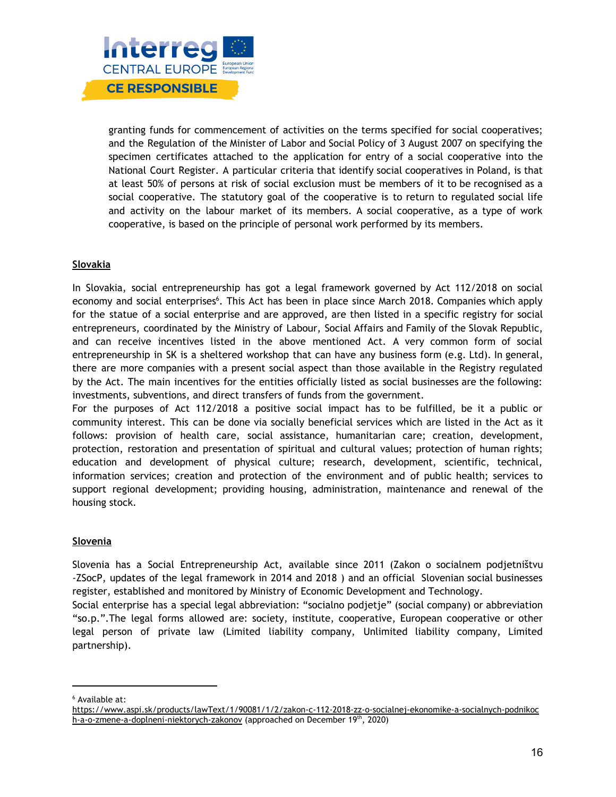

granting funds for commencement of activities on the terms specified for social cooperatives; and the Regulation of the Minister of Labor and Social Policy of 3 August 2007 on specifying the specimen certificates attached to the application for entry of a social cooperative into the National Court Register. A particular criteria that identify social cooperatives in Poland, is that at least 50% of persons at risk of social exclusion must be members of it to be recognised as a social cooperative. The statutory goal of the cooperative is to return to regulated social life and activity on the labour market of its members. A social cooperative, as a type of work cooperative, is based on the principle of personal work performed by its members.

#### **Slovakia**

In Slovakia, social entrepreneurship has got a legal framework governed by Act 112/2018 on social economy and social enterprises<sup>6</sup>. This Act has been in place since March 2018. Companies which apply for the statue of a social enterprise and are approved, are then listed in a specific registry for social entrepreneurs, coordinated by the Ministry of Labour, Social Affairs and Family of the Slovak Republic, and can receive incentives listed in the above mentioned Act. A very common form of social entrepreneurship in SK is a sheltered workshop that can have any business form (e.g. Ltd). In general, there are more companies with a present social aspect than those available in the Registry regulated by the Act. The main incentives for the entities officially listed as social businesses are the following: investments, subventions, and direct transfers of funds from the government.

For the purposes of Act 112/2018 a positive social impact has to be fulfilled, be it a public or community interest. This can be done via socially beneficial services which are listed in the Act as it follows: provision of health care, social assistance, humanitarian care; creation, development, protection, restoration and presentation of spiritual and cultural values; protection of human rights; education and development of physical culture; research, development, scientific, technical, information services; creation and protection of the environment and of public health; services to support regional development; providing housing, administration, maintenance and renewal of the housing stock.

#### **Slovenia**

Slovenia has a Social Entrepreneurship Act, available since 2011 (Zakon o socialnem podjetništvu -ZSocP, updates of the legal framework in 2014 and 2018 ) and an official Slovenian social businesses register, established and monitored by Ministry of Economic Development and Technology.

Social enterprise has a special legal abbreviation: "socialno podjetje" (social company) or abbreviation "so.p.".The legal forms allowed are: society, institute, cooperative, European cooperative or other legal person of private law (Limited liability company, Unlimited liability company, Limited partnership).

<sup>6</sup> Available at:

[https://www.aspi.sk/products/lawText/1/90081/1/2/zakon-c-112-2018-zz-o-socialnej-ekonomike-a-socialnych-podnikoc](https://www.aspi.sk/products/lawText/1/90081/1/2/zakon-c-112-2018-zz-o-socialnej-ekonomike-a-socialnych-podnikoch-a-o-zmene-a-doplneni-niektorych-zakonov) [h-a-o-zmene-a-doplneni-niektorych-zakonov](https://www.aspi.sk/products/lawText/1/90081/1/2/zakon-c-112-2018-zz-o-socialnej-ekonomike-a-socialnych-podnikoch-a-o-zmene-a-doplneni-niektorych-zakonov) (approached on December 19th, 2020)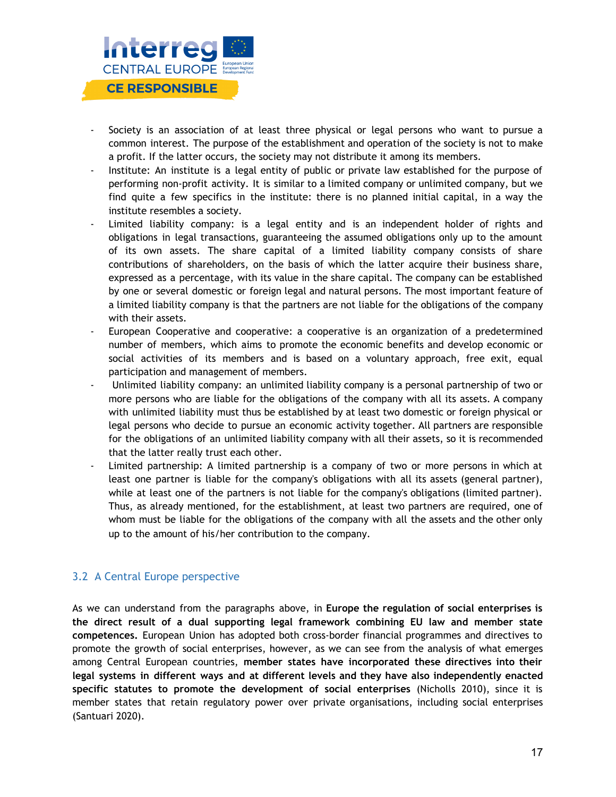

- Society is an association of at least three physical or legal persons who want to pursue a common interest. The purpose of the establishment and operation of the society is not to make a profit. If the latter occurs, the society may not distribute it among its members.
- Institute: An institute is a legal entity of public or private law established for the purpose of performing non-profit activity. It is similar to a limited company or unlimited company, but we find quite a few specifics in the institute: there is no planned initial capital, in a way the institute resembles a society.
- Limited liability company: is a legal entity and is an independent holder of rights and obligations in legal transactions, guaranteeing the assumed obligations only up to the amount of its own assets. The share capital of a limited liability company consists of share contributions of shareholders, on the basis of which the latter acquire their business share, expressed as a percentage, with its value in the share capital. The company can be established by one or several domestic or foreign legal and natural persons. The most important feature of a limited liability company is that the partners are not liable for the obligations of the company with their assets.
- European Cooperative and cooperative: a cooperative is an organization of a predetermined number of members, which aims to promote the economic benefits and develop economic or social activities of its members and is based on a voluntary approach, free exit, equal participation and management of members.
- Unlimited liability company: an unlimited liability company is a personal partnership of two or more persons who are liable for the obligations of the company with all its assets. A company with unlimited liability must thus be established by at least two domestic or foreign physical or legal persons who decide to pursue an economic activity together. All partners are responsible for the obligations of an unlimited liability company with all their assets, so it is recommended that the latter really trust each other.
- Limited partnership: A limited partnership is a company of two or more persons in which at least one partner is liable for the company's obligations with all its assets (general partner), while at least one of the partners is not liable for the company's obligations (limited partner). Thus, as already mentioned, for the establishment, at least two partners are required, one of whom must be liable for the obligations of the company with all the assets and the other only up to the amount of his/her contribution to the company.

#### 3.2 A Central Europe perspective

As we can understand from the paragraphs above, in **Europe the regulation of social enterprises is the direct result of a dual supporting legal framework combining EU law and member state competences.** European Union has adopted both cross-border financial programmes and directives to promote the growth of social enterprises, however, as we can see from the analysis of what emerges among Central European countries, **member states have incorporated these directives into their legal systems in different ways and at different levels and they have also independently enacted specific statutes to promote the development of social enterprises** (Nicholls 2010), since it is member states that retain regulatory power over private organisations, including social enterprises (Santuari 2020).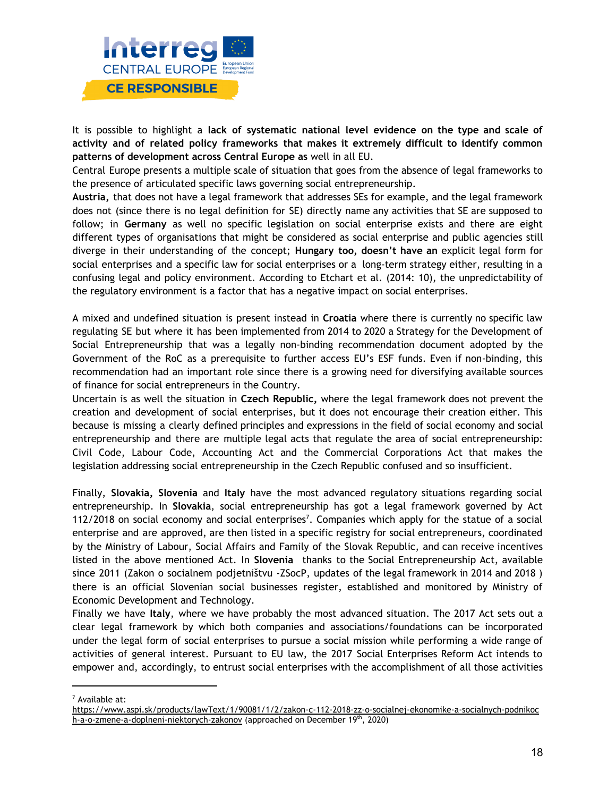

It is possible to highlight a **lack of systematic national level evidence on the type and scale of activity and of related policy frameworks that makes it extremely difficult to identify common patterns of development across Central Europe as** well in all EU.

Central Europe presents a multiple scale of situation that goes from the absence of legal frameworks to the presence of articulated specific laws governing social entrepreneurship.

**Austria,** that does not have a legal framework that addresses SEs for example, and the legal framework does not (since there is no legal definition for SE) directly name any activities that SE are supposed to follow; in **Germany** as well no specific legislation on social enterprise exists and there are eight different types of organisations that might be considered as social enterprise and public agencies still diverge in their understanding of the concept; **Hungary too, doesn't have an** explicit legal form for social enterprises and a specific law for social enterprises or a long-term strategy either, resulting in a confusing legal and policy environment. According to Etchart et al. (2014: 10), the unpredictability of the regulatory environment is a factor that has a negative impact on social enterprises.

A mixed and undefined situation is present instead in **Croatia** where there is currently no specific law regulating SE but where it has been implemented from 2014 to 2020 a Strategy for the Development of Social Entrepreneurship that was a legally non-binding recommendation document adopted by the Government of the RoC as a prerequisite to further access EU's ESF funds. Even if non-binding, this recommendation had an important role since there is a growing need for diversifying available sources of finance for social entrepreneurs in the Country.

Uncertain is as well the situation in **Czech Republic,** where the legal framework does not prevent the creation and development of social enterprises, but it does not encourage their creation either. This because is missing a clearly defined principles and expressions in the field of social economy and social entrepreneurship and there are multiple legal acts that regulate the area of social entrepreneurship: Civil Code, Labour Code, Accounting Act and the Commercial Corporations Act that makes the legislation addressing social entrepreneurship in the Czech Republic confused and so insufficient.

Finally, **Slovakia, Slovenia** and **Italy** have the most advanced regulatory situations regarding social entrepreneurship. In **Slovakia**, social entrepreneurship has got a legal framework governed by Act 112/2018 on social economy and social enterprises 7 . Companies which apply for the statue of a social enterprise and are approved, are then listed in a specific registry for social entrepreneurs, coordinated by the Ministry of Labour, Social Affairs and Family of the Slovak Republic, and can receive incentives listed in the above mentioned Act. In **Slovenia** thanks to the Social Entrepreneurship Act, available since 2011 (Zakon o socialnem podjetništvu -ZSocP, updates of the legal framework in 2014 and 2018 ) there is an official Slovenian social businesses register, established and monitored by Ministry of Economic Development and Technology.

Finally we have **Italy**, where we have probably the most advanced situation. The 2017 Act sets out a clear legal framework by which both companies and associations/foundations can be incorporated under the legal form of social enterprises to pursue a social mission while performing a wide range of activities of general interest. Pursuant to EU law, the 2017 Social Enterprises Reform Act intends to empower and, accordingly, to entrust social enterprises with the accomplishment of all those activities

<sup>7</sup> Available at:

[https://www.aspi.sk/products/lawText/1/90081/1/2/zakon-c-112-2018-zz-o-socialnej-ekonomike-a-socialnych-podnikoc](https://www.aspi.sk/products/lawText/1/90081/1/2/zakon-c-112-2018-zz-o-socialnej-ekonomike-a-socialnych-podnikoch-a-o-zmene-a-doplneni-niektorych-zakonov) [h-a-o-zmene-a-doplneni-niektorych-zakonov](https://www.aspi.sk/products/lawText/1/90081/1/2/zakon-c-112-2018-zz-o-socialnej-ekonomike-a-socialnych-podnikoch-a-o-zmene-a-doplneni-niektorych-zakonov) (approached on December 19th, 2020)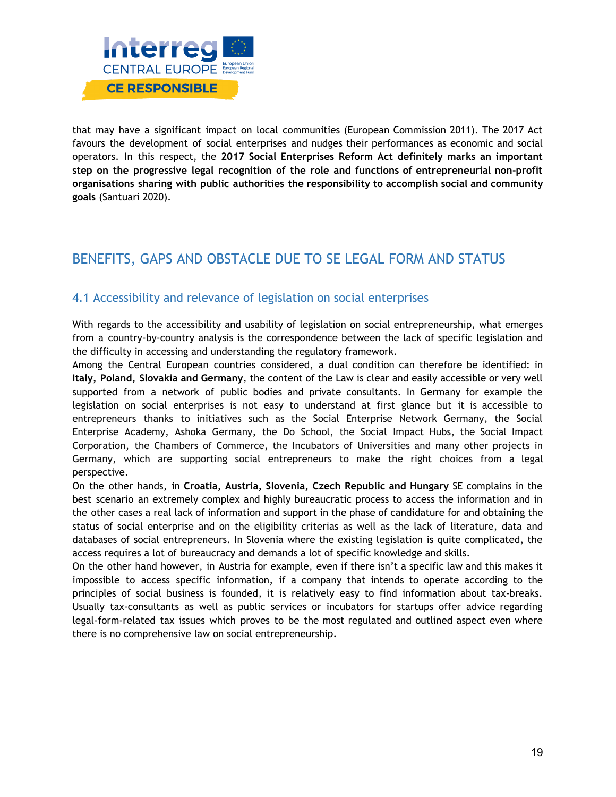

that may have a significant impact on local communities (European Commission 2011). The 2017 Act favours the development of social enterprises and nudges their performances as economic and social operators. In this respect, the **2017 Social Enterprises Reform Act definitely marks an important step on the progressive legal recognition of the role and functions of entrepreneurial non-profit organisations sharing with public authorities the responsibility to accomplish social and community goals** (Santuari 2020).

# BENEFITS, GAPS AND OBSTACLE DUE TO SE LEGAL FORM AND STATUS

### 4.1 Accessibility and relevance of legislation on social enterprises

With regards to the accessibility and usability of legislation on social entrepreneurship, what emerges from a country-by-country analysis is the correspondence between the lack of specific legislation and the difficulty in accessing and understanding the regulatory framework.

Among the Central European countries considered, a dual condition can therefore be identified: in **Italy, Poland, Slovakia and Germany**, the content of the Law is clear and easily accessible or very well supported from a network of public bodies and private consultants. In Germany for example the legislation on social enterprises is not easy to understand at first glance but it is accessible to entrepreneurs thanks to initiatives such as the Social Enterprise Network Germany, the Social Enterprise Academy, Ashoka Germany, the Do School, the Social Impact Hubs, the Social Impact Corporation, the Chambers of Commerce, the Incubators of Universities and many other projects in Germany, which are supporting social entrepreneurs to make the right choices from a legal perspective.

On the other hands, in **Croatia, Austria, Slovenia, Czech Republic and Hungary** SE complains in the best scenario an extremely complex and highly bureaucratic process to access the information and in the other cases a real lack of information and support in the phase of candidature for and obtaining the status of social enterprise and on the eligibility criterias as well as the lack of literature, data and databases of social entrepreneurs. In Slovenia where the existing legislation is quite complicated, the access requires a lot of bureaucracy and demands a lot of specific knowledge and skills.

On the other hand however, in Austria for example, even if there isn't a specific law and this makes it impossible to access specific information, if a company that intends to operate according to the principles of social business is founded, it is relatively easy to find information about tax-breaks. Usually tax-consultants as well as public services or incubators for startups offer advice regarding legal-form-related tax issues which proves to be the most regulated and outlined aspect even where there is no comprehensive law on social entrepreneurship.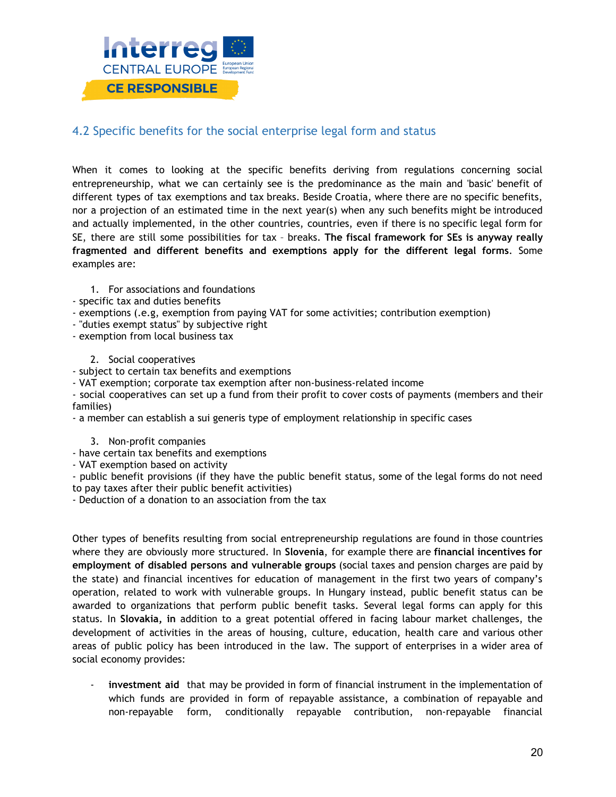

### 4.2 Specific benefits for the social enterprise legal form and status

When it comes to looking at the specific benefits deriving from regulations concerning social entrepreneurship, what we can certainly see is the predominance as the main and 'basic' benefit of different types of tax exemptions and tax breaks. Beside Croatia, where there are no specific benefits, nor a projection of an estimated time in the next year(s) when any such benefits might be introduced and actually implemented, in the other countries, countries, even if there is no specific legal form for SE, there are still some possibilities for tax – breaks. **The fiscal framework for SEs is anyway really fragmented and different benefits and exemptions apply for the different legal forms**. Some examples are:

- 1. For associations and foundations
- specific tax and duties benefits
- exemptions (.e.g, exemption from paying VAT for some activities; contribution exemption)
- "duties exempt status" by subjective right
- exemption from local business tax
	- 2. Social cooperatives
- subject to certain tax benefits and exemptions
- VAT exemption; corporate tax exemption after non-business-related income

- social cooperatives can set up a fund from their profit to cover costs of payments (members and their families)

- a member can establish a sui generis type of employment relationship in specific cases
	- 3. Non-profit companies
- have certain tax benefits and exemptions
- VAT exemption based on activity

- public benefit provisions (if they have the public benefit status, some of the legal forms do not need to pay taxes after their public benefit activities)

- Deduction of a donation to an association from the tax

Other types of benefits resulting from social entrepreneurship regulations are found in those countries where they are obviously more structured. In **Slovenia**, for example there are **financial incentives for employment of disabled persons and vulnerable groups** (social taxes and pension charges are paid by the state) and financial incentives for education of management in the first two years of company's operation, related to work with vulnerable groups. In Hungary instead, public benefit status can be awarded to organizations that perform public benefit tasks. Several legal forms can apply for this status. In **Slovakia, in** addition to a great potential offered in facing labour market challenges, the development of activities in the areas of housing, culture, education, health care and various other areas of public policy has been introduced in the law. The support of enterprises in a wider area of social economy provides:

- **investment aid** that may be provided in form of financial instrument in the implementation of which funds are provided in form of repayable assistance, a combination of repayable and non-repayable form, conditionally repayable contribution, non-repayable financial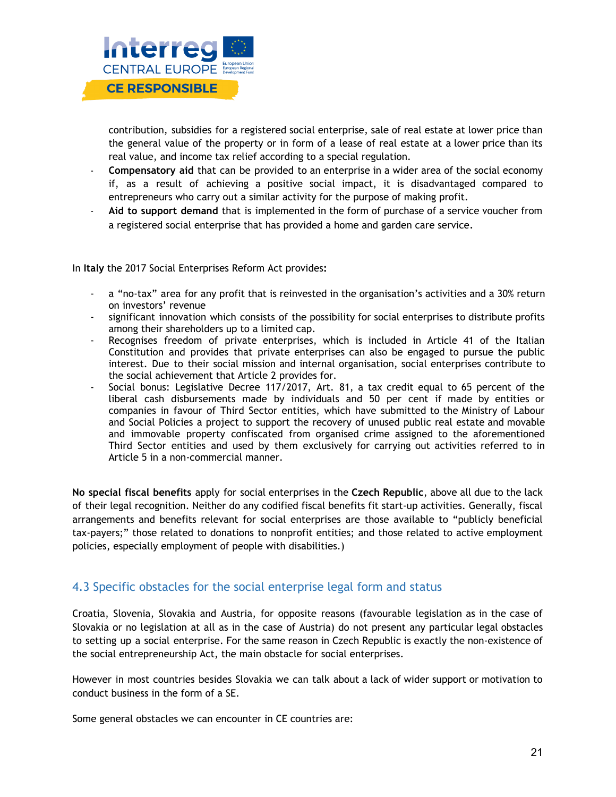

contribution, subsidies for a registered social enterprise, sale of real estate at lower price than the general value of the property or in form of a lease of real estate at a lower price than its real value, and income tax relief according to a special regulation.

- **Compensatory aid** that can be provided to an enterprise in a wider area of the social economy if, as a result of achieving a positive social impact, it is disadvantaged compared to entrepreneurs who carry out a similar activity for the purpose of making profit.
- **Aid to support demand** that is implemented in the form of purchase of a service voucher from a registered social enterprise that has provided a home and garden care service.

In **Italy** the 2017 Social Enterprises Reform Act provides**:**

- a "no-tax" area for any profit that is reinvested in the organisation's activities and a 30% return on investors' revenue
- significant innovation which consists of the possibility for social enterprises to distribute profits among their shareholders up to a limited cap.
- Recognises freedom of private enterprises, which is included in Article 41 of the Italian Constitution and provides that private enterprises can also be engaged to pursue the public interest. Due to their social mission and internal organisation, social enterprises contribute to the social achievement that Article 2 provides for.
- Social bonus: Legislative Decree 117/2017, Art. 81, a tax credit equal to 65 percent of the liberal cash disbursements made by individuals and 50 per cent if made by entities or companies in favour of Third Sector entities, which have submitted to the Ministry of Labour and Social Policies a project to support the recovery of unused public real estate and movable and immovable property confiscated from organised crime assigned to the aforementioned Third Sector entities and used by them exclusively for carrying out activities referred to in Article 5 in a non-commercial manner.

**No special fiscal benefits** apply for social enterprises in the **Czech Republic**, above all due to the lack of their legal recognition. Neither do any codified fiscal benefits fit start-up activities. Generally, fiscal arrangements and benefits relevant for social enterprises are those available to "publicly beneficial tax-payers;" those related to donations to nonprofit entities; and those related to active employment policies, especially employment of people with disabilities.)

### 4.3 Specific obstacles for the social enterprise legal form and status

Croatia, Slovenia, Slovakia and Austria, for opposite reasons (favourable legislation as in the case of Slovakia or no legislation at all as in the case of Austria) do not present any particular legal obstacles to setting up a social enterprise. For the same reason in Czech Republic is exactly the non-existence of the social entrepreneurship Act, the main obstacle for social enterprises.

However in most countries besides Slovakia we can talk about a lack of wider support or motivation to conduct business in the form of a SE.

Some general obstacles we can encounter in CE countries are: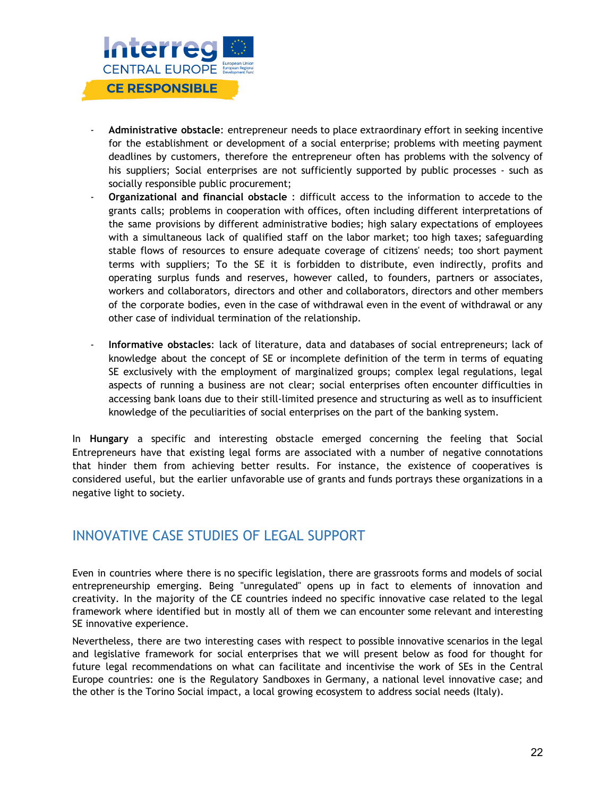

- **Administrative obstacle**: entrepreneur needs to place extraordinary effort in seeking incentive for the establishment or development of a social enterprise; problems with meeting payment deadlines by customers, therefore the entrepreneur often has problems with the solvency of his suppliers; Social enterprises are not sufficiently supported by public processes - such as socially responsible public procurement;
- **Organizational and financial obstacle** : difficult access to the information to accede to the grants calls; problems in cooperation with offices, often including different interpretations of the same provisions by different administrative bodies; high salary expectations of employees with a simultaneous lack of qualified staff on the labor market; too high taxes; safeguarding stable flows of resources to ensure adequate coverage of citizens' needs; too short payment terms with suppliers; To the SE it is forbidden to distribute, even indirectly, profits and operating surplus funds and reserves, however called, to founders, partners or associates, workers and collaborators, directors and other and collaborators, directors and other members of the corporate bodies, even in the case of withdrawal even in the event of withdrawal or any other case of individual termination of the relationship.
- **Informative obstacles**: lack of literature, data and databases of social entrepreneurs; lack of knowledge about the concept of SE or incomplete definition of the term in terms of equating SE exclusively with the employment of marginalized groups; complex legal regulations, legal aspects of running a business are not clear; social enterprises often encounter difficulties in accessing bank loans due to their still-limited presence and structuring as well as to insufficient knowledge of the peculiarities of social enterprises on the part of the banking system.

In **Hungary** a specific and interesting obstacle emerged concerning the feeling that Social Entrepreneurs have that existing legal forms are associated with a number of negative connotations that hinder them from achieving better results. For instance, the existence of cooperatives is considered useful, but the earlier unfavorable use of grants and funds portrays these organizations in a negative light to society.

### INNOVATIVE CASE STUDIES OF LEGAL SUPPORT

Even in countries where there is no specific legislation, there are grassroots forms and models of social entrepreneurship emerging. Being "unregulated" opens up in fact to elements of innovation and creativity. In the majority of the CE countries indeed no specific innovative case related to the legal framework where identified but in mostly all of them we can encounter some relevant and interesting SE innovative experience.

Nevertheless, there are two interesting cases with respect to possible innovative scenarios in the legal and legislative framework for social enterprises that we will present below as food for thought for future legal recommendations on what can facilitate and incentivise the work of SEs in the Central Europe countries: one is the Regulatory Sandboxes in Germany, a national level innovative case; and the other is the Torino Social impact, a local growing ecosystem to address social needs (Italy).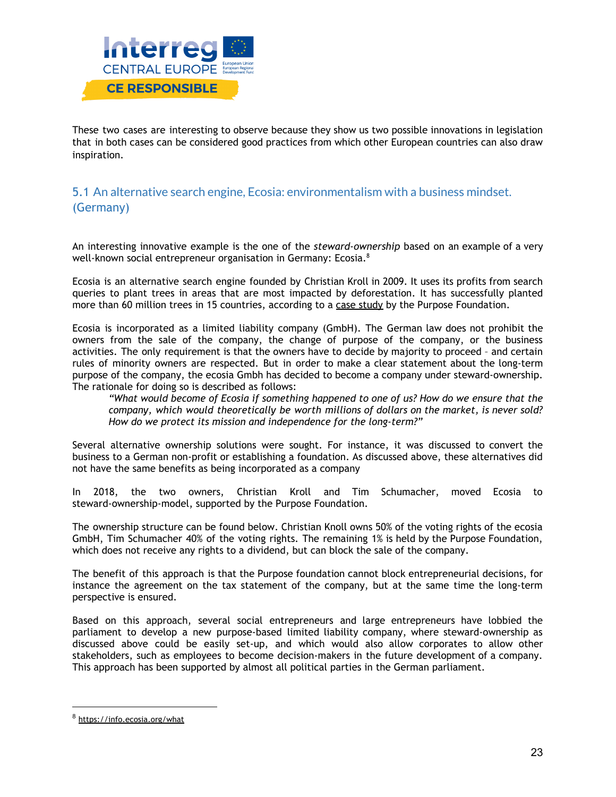

These two cases are interesting to observe because they show us two possible innovations in legislation that in both cases can be considered good practices from which other European countries can also draw inspiration.

### 5.1 An alternative search engine, Ecosia: environmentalism with a business mindset. (Germany)

An interesting innovative example is the one of the *steward-ownership* based on an example of a very well-known social entrepreneur organisation in Germany: Ecosia. $^8$ 

Ecosia is an alternative search engine founded by Christian Kroll in 2009. It uses its profits from search queries to plant trees in areas that are most impacted by deforestation. It has successfully planted more than 60 million trees in 15 countries, according to a case [study](https://purpose-economy.org/en/companies/ecosia/) by the Purpose Foundation.

Ecosia is incorporated as a limited liability company (GmbH). The German law does not prohibit the owners from the sale of the company, the change of purpose of the company, or the business activities. The only requirement is that the owners have to decide by majority to proceed – and certain rules of minority owners are respected. But in order to make a clear statement about the long-term purpose of the company, the ecosia Gmbh has decided to become a company under steward-ownership. The rationale for doing so is described as follows:

*"What would become of Ecosia if something happened to one of us? How do we ensure that the company, which would theoretically be worth millions of dollars on the market, is never sold? How do we protect its mission and independence for the long-term?"*

Several alternative ownership solutions were sought. For instance, it was discussed to convert the business to a German non-profit or establishing a foundation. As discussed above, these alternatives did not have the same benefits as being incorporated as a company

In 2018, the two owners, Christian Kroll and Tim Schumacher, moved Ecosia to steward-ownership-model, supported by the Purpose Foundation.

The ownership structure can be found below. Christian Knoll owns 50% of the voting rights of the ecosia GmbH, Tim Schumacher 40% of the voting rights. The remaining 1% is held by the Purpose Foundation, which does not receive any rights to a dividend, but can block the sale of the company.

The benefit of this approach is that the Purpose foundation cannot block entrepreneurial decisions, for instance the agreement on the tax statement of the company, but at the same time the long-term perspective is ensured.

Based on this approach, several social entrepreneurs and large entrepreneurs have lobbied the parliament to develop a new purpose-based limited liability company, where steward-ownership as discussed above could be easily set-up, and which would also allow corporates to allow other stakeholders, such as employees to become decision-makers in the future development of a company. This approach has been supported by almost all political parties in the German parliament.

<sup>8</sup> <https://info.ecosia.org/what>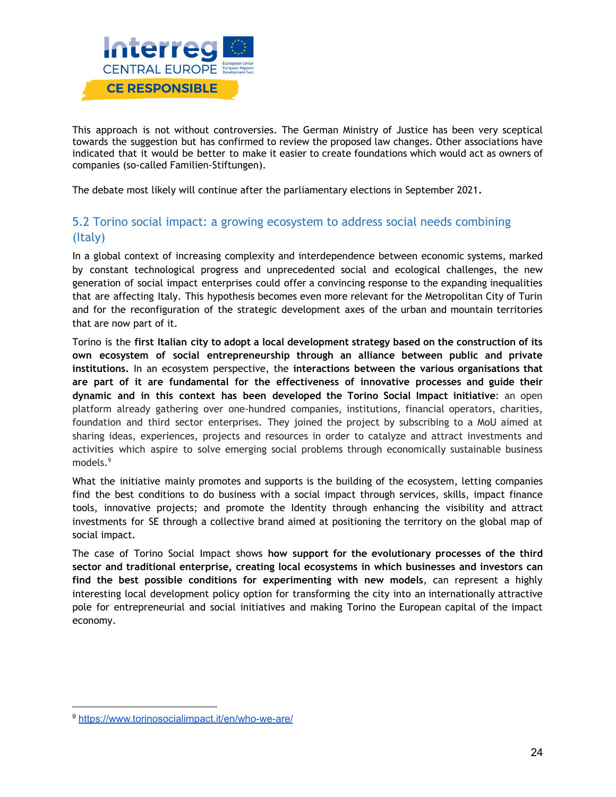

This approach is not without controversies. The German Ministry of Justice has been very sceptical towards the suggestion but has confirmed to review the proposed law changes. Other associations have indicated that it would be better to make it easier to create foundations which would act as owners of companies (so-called Familien-Stiftungen).

The debate most likely will continue after the parliamentary elections in September 2021.

### 5.2 Torino social impact: a growing ecosystem to address social needs combining (Italy)

In a global context of increasing complexity and interdependence between economic systems, marked by constant technological progress and unprecedented social and ecological challenges, the new generation of social impact enterprises could offer a convincing response to the expanding inequalities that are affecting Italy. This hypothesis becomes even more relevant for the Metropolitan City of Turin and for the reconfiguration of the strategic development axes of the urban and mountain territories that are now part of it.

Torino is the **first Italian city to adopt a local development strategy based on the construction of its own ecosystem of social entrepreneurship through an alliance between public and private institutions.** In an ecosystem perspective, the **interactions between the various organisations that are part of it are fundamental for the effectiveness of innovative processes and guide their dynamic and in this context has been developed the Torino Social Impact initiative**: an open platform already gathering over one-hundred companies, institutions, financial operators, charities, foundation and third sector enterprises. They joined the project by subscribing to a MoU aimed at sharing ideas, experiences, projects and resources in order to catalyze and attract investments and activities which aspire to solve emerging social problems through economically sustainable business models. 9

What the initiative mainly promotes and supports is the building of the ecosystem, letting companies find the best conditions to do business with a social impact through services, skills, impact finance tools, innovative projects; and promote the Identity through enhancing the visibility and attract investments for SE through a collective brand aimed at positioning the territory on the global map of social impact.

The case of Torino Social Impact shows **how support for the evolutionary processes of the third sector and traditional enterprise, creating local ecosystems in which businesses and investors can find the best possible conditions for experimenting with new models**, can represent a highly interesting local development policy option for transforming the city into an internationally attractive pole for entrepreneurial and social initiatives and making Torino the European capital of the impact economy.

<sup>9</sup> <https://www.torinosocialimpact.it/en/who-we-are/>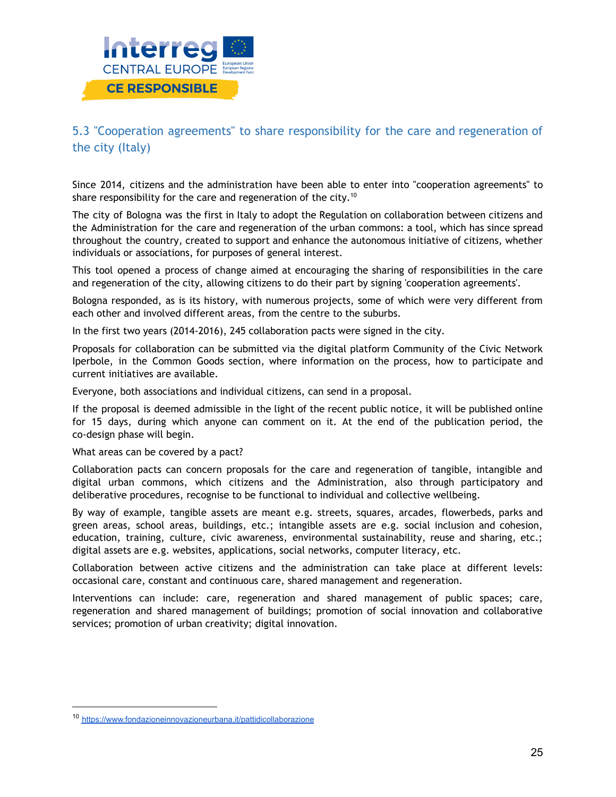

### 5.3 "Cooperation agreements" to share responsibility for the care and regeneration of the city (Italy)

Since 2014, citizens and the administration have been able to enter into "cooperation agreements" to share responsibility for the care and regeneration of the city.<sup>10</sup>

The city of Bologna was the first in Italy to adopt the Regulation on collaboration between citizens and the Administration for the care and regeneration of the urban commons: a tool, which has since spread throughout the country, created to support and enhance the autonomous initiative of citizens, whether individuals or associations, for purposes of general interest.

This tool opened a process of change aimed at encouraging the sharing of responsibilities in the care and regeneration of the city, allowing citizens to do their part by signing 'cooperation agreements'.

Bologna responded, as is its history, with numerous projects, some of which were very different from each other and involved different areas, from the centre to the suburbs.

In the first two years (2014-2016), 245 collaboration pacts were signed in the city.

Proposals for collaboration can be submitted via the digital platform Community of the Civic Network Iperbole, in the Common Goods section, where information on the process, how to participate and current initiatives are available.

Everyone, both associations and individual citizens, can send in a proposal.

If the proposal is deemed admissible in the light of the recent public notice, it will be published online for 15 days, during which anyone can comment on it. At the end of the publication period, the co-design phase will begin.

What areas can be covered by a pact?

Collaboration pacts can concern proposals for the care and regeneration of tangible, intangible and digital urban commons, which citizens and the Administration, also through participatory and deliberative procedures, recognise to be functional to individual and collective wellbeing.

By way of example, tangible assets are meant e.g. streets, squares, arcades, flowerbeds, parks and green areas, school areas, buildings, etc.; intangible assets are e.g. social inclusion and cohesion, education, training, culture, civic awareness, environmental sustainability, reuse and sharing, etc.; digital assets are e.g. websites, applications, social networks, computer literacy, etc.

Collaboration between active citizens and the administration can take place at different levels: occasional care, constant and continuous care, shared management and regeneration.

Interventions can include: care, regeneration and shared management of public spaces; care, regeneration and shared management of buildings; promotion of social innovation and collaborative services; promotion of urban creativity; digital innovation.

<sup>10</sup> <https://www.fondazioneinnovazioneurbana.it/pattidicollaborazione>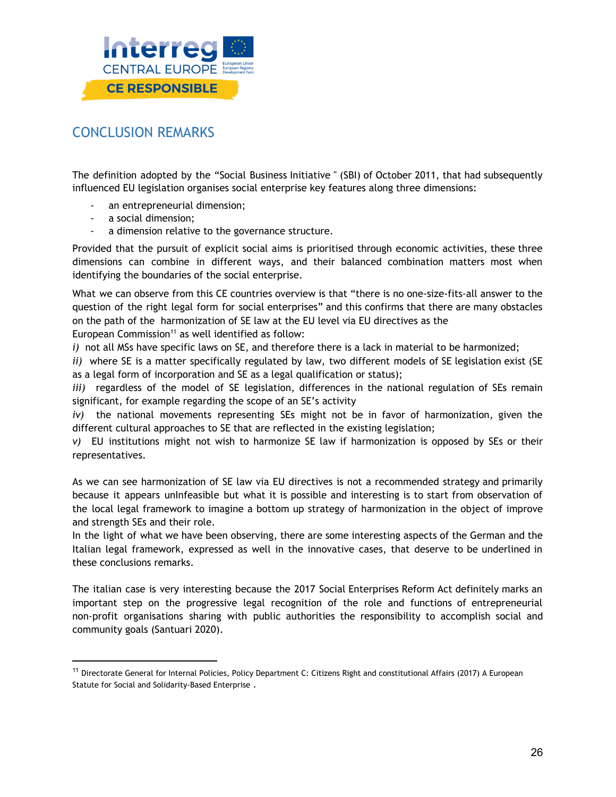

# CONCLUSION REMARKS

The definition adopted by the "Social Business Initiative " (SBI) of October 2011, that had subsequently influenced EU legislation organises social enterprise key features along three dimensions:

- an entrepreneurial dimension;
- a social dimension;
- a dimension relative to the governance structure.

Provided that the pursuit of explicit social aims is prioritised through economic activities, these three dimensions can combine in different ways, and their balanced combination matters most when identifying the boundaries of the social enterprise.

What we can observe from this CE countries overview is that "there is no one-size-fits-all answer to the question of the right legal form for social enterprises" and this confirms that there are many obstacles on the path of the harmonization of SE law at the EU level via EU directives as the

European Commission <sup>11</sup> as well identified as follow:

*i)* not all MSs have specific laws on SE, and therefore there is a lack in material to be harmonized;

*ii*) where SE is a matter specifically regulated by law, two different models of SE legislation exist (SE as a legal form of incorporation and SE as a legal qualification or status);

*iii*) regardless of the model of SE legislation, differences in the national regulation of SEs remain significant, for example regarding the scope of an SE's activity

*iv)* the national movements representing SEs might not be in favor of harmonization, given the different cultural approaches to SE that are reflected in the existing legislation;

*v)* EU institutions might not wish to harmonize SE law if harmonization is opposed by SEs or their representatives.

As we can see harmonization of SE law via EU directives is not a recommended strategy and primarily because it appears unInfeasible but what it is possible and interesting is to start from observation of the local legal framework to imagine a bottom up strategy of harmonization in the object of improve and strength SEs and their role.

In the light of what we have been observing, there are some interesting aspects of the German and the Italian legal framework, expressed as well in the innovative cases, that deserve to be underlined in these conclusions remarks.

The italian case is very interesting because the 2017 Social Enterprises Reform Act definitely marks an important step on the progressive legal recognition of the role and functions of entrepreneurial non-profit organisations sharing with public authorities the responsibility to accomplish social and community goals (Santuari 2020).

<sup>&</sup>lt;sup>11</sup> Directorate General for Internal Policies, Policy Department C: Citizens Right and constitutional Affairs (2017) A European Statute for Social and Solidarity-Based Enterprise .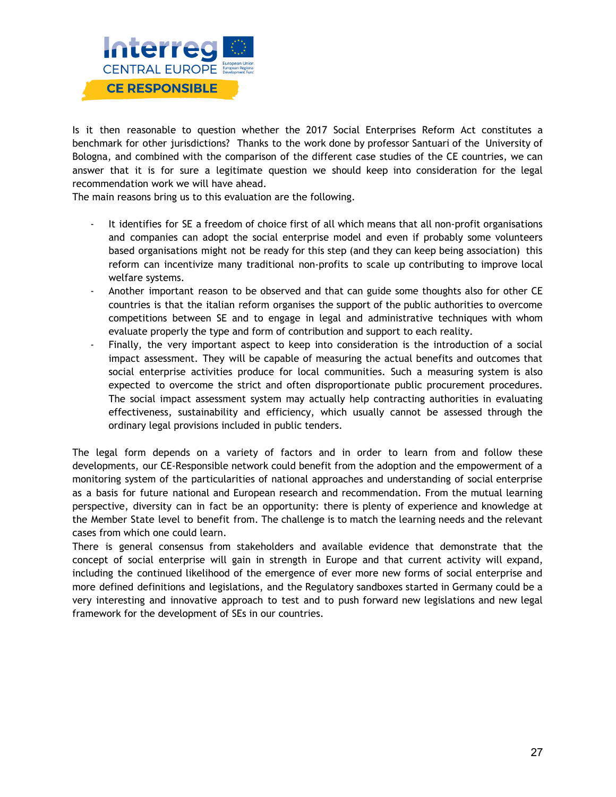

Is it then reasonable to question whether the 2017 Social Enterprises Reform Act constitutes a benchmark for other jurisdictions? Thanks to the work done by professor Santuari of the University of Bologna, and combined with the comparison of the different case studies of the CE countries, we can answer that it is for sure a legitimate question we should keep into consideration for the legal recommendation work we will have ahead.

The main reasons bring us to this evaluation are the following.

- It identifies for SE a freedom of choice first of all which means that all non-profit organisations and companies can adopt the social enterprise model and even if probably some volunteers based organisations might not be ready for this step (and they can keep being association) this reform can incentivize many traditional non-profits to scale up contributing to improve local welfare systems.
- Another important reason to be observed and that can guide some thoughts also for other CE countries is that the italian reform organises the support of the public authorities to overcome competitions between SE and to engage in legal and administrative techniques with whom evaluate properly the type and form of contribution and support to each reality.
- Finally, the very important aspect to keep into consideration is the introduction of a social impact assessment. They will be capable of measuring the actual benefits and outcomes that social enterprise activities produce for local communities. Such a measuring system is also expected to overcome the strict and often disproportionate public procurement procedures. The social impact assessment system may actually help contracting authorities in evaluating effectiveness, sustainability and efficiency, which usually cannot be assessed through the ordinary legal provisions included in public tenders.

The legal form depends on a variety of factors and in order to learn from and follow these developments, our CE-Responsible network could benefit from the adoption and the empowerment of a monitoring system of the particularities of national approaches and understanding of social enterprise as a basis for future national and European research and recommendation. From the mutual learning perspective, diversity can in fact be an opportunity: there is plenty of experience and knowledge at the Member State level to benefit from. The challenge is to match the learning needs and the relevant cases from which one could learn.

There is general consensus from stakeholders and available evidence that demonstrate that the concept of social enterprise will gain in strength in Europe and that current activity will expand, including the continued likelihood of the emergence of ever more new forms of social enterprise and more defined definitions and legislations, and the Regulatory sandboxes started in Germany could be a very interesting and innovative approach to test and to push forward new legislations and new legal framework for the development of SEs in our countries.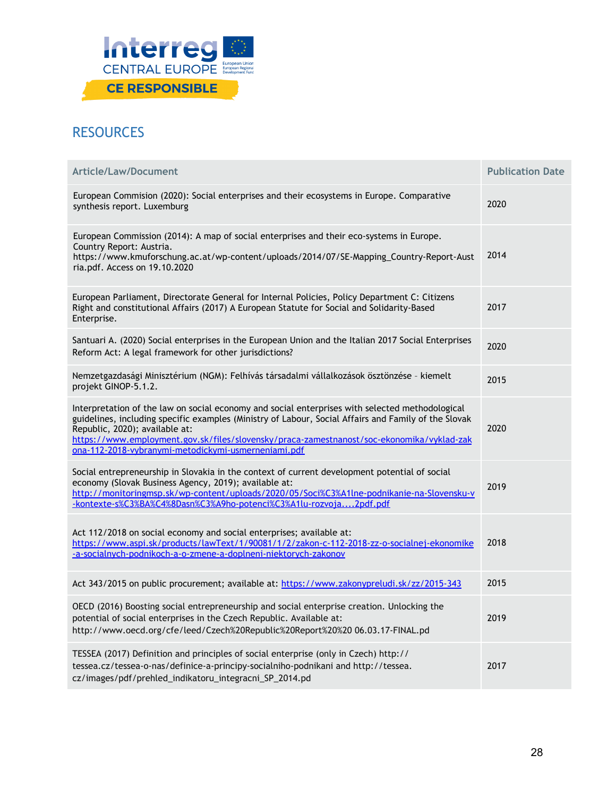

# **RESOURCES**

| Article/Law/Document                                                                                                                                                                                                                                                                                                                                                                          | <b>Publication Date</b> |
|-----------------------------------------------------------------------------------------------------------------------------------------------------------------------------------------------------------------------------------------------------------------------------------------------------------------------------------------------------------------------------------------------|-------------------------|
| European Commision (2020): Social enterprises and their ecosystems in Europe. Comparative<br>synthesis report. Luxemburg                                                                                                                                                                                                                                                                      | 2020                    |
| European Commission (2014): A map of social enterprises and their eco-systems in Europe.<br>Country Report: Austria.<br>https://www.kmuforschung.ac.at/wp-content/uploads/2014/07/SE-Mapping_Country-Report-Aust<br>ria.pdf. Access on 19.10.2020                                                                                                                                             | 2014                    |
| European Parliament, Directorate General for Internal Policies, Policy Department C: Citizens<br>Right and constitutional Affairs (2017) A European Statute for Social and Solidarity-Based<br>Enterprise.                                                                                                                                                                                    | 2017                    |
| Santuari A. (2020) Social enterprises in the European Union and the Italian 2017 Social Enterprises<br>Reform Act: A legal framework for other jurisdictions?                                                                                                                                                                                                                                 | 2020                    |
| Nemzetgazdasági Minisztérium (NGM): Felhívás társadalmi vállalkozások ösztönzése - kiemelt<br>projekt GINOP-5.1.2.                                                                                                                                                                                                                                                                            | 2015                    |
| Interpretation of the law on social economy and social enterprises with selected methodological<br>guidelines, including specific examples (Ministry of Labour, Social Affairs and Family of the Slovak<br>Republic, 2020); available at:<br>https://www.employment.gov.sk/files/slovensky/praca-zamestnanost/soc-ekonomika/vyklad-zak<br>ona-112-2018-vybranymi-metodickymi-usmerneniami.pdf | 2020                    |
| Social entrepreneurship in Slovakia in the context of current development potential of social<br>economy (Slovak Business Agency, 2019); available at:<br>http://monitoringmsp.sk/wp-content/uploads/2020/05/Soci%C3%A1lne-podnikanie-na-Slovensku-v<br>-kontexte-s%C3%BA%C4%8Dasn%C3%A9ho-potenci%C3%A1lu-rozvoja2pdf.pdf                                                                    | 2019                    |
| Act 112/2018 on social economy and social enterprises; available at:<br>https://www.aspi.sk/products/lawText/1/90081/1/2/zakon-c-112-2018-zz-o-socialnej-ekonomike<br>-a-socialnych-podnikoch-a-o-zmene-a-doplneni-niektorych-zakonov                                                                                                                                                         | 2018                    |
| Act 343/2015 on public procurement; available at: https://www.zakonypreludi.sk/zz/2015-343                                                                                                                                                                                                                                                                                                    | 2015                    |
| OECD (2016) Boosting social entrepreneurship and social enterprise creation. Unlocking the<br>potential of social enterprises in the Czech Republic. Available at:<br>http://www.oecd.org/cfe/leed/Czech%20Republic%20Report%20%20 06.03.17-FINAL.pd                                                                                                                                          | 2019                    |
| TESSEA (2017) Definition and principles of social enterprise (only in Czech) http://<br>tessea.cz/tessea-o-nas/definice-a-principy-socialniho-podnikani and http://tessea.<br>cz/images/pdf/prehled_indikatoru_integracni_SP_2014.pd                                                                                                                                                          | 2017                    |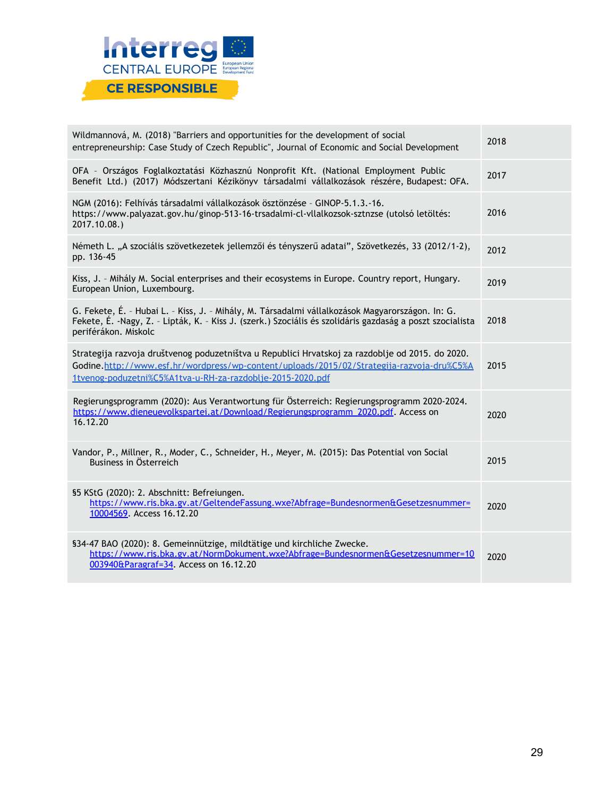

| Wildmannová, M. (2018) "Barriers and opportunities for the development of social<br>entrepreneurship: Case Study of Czech Republic", Journal of Economic and Social Development                                                                             | 2018 |
|-------------------------------------------------------------------------------------------------------------------------------------------------------------------------------------------------------------------------------------------------------------|------|
| OFA - Országos Foglalkoztatási Közhasznú Nonprofit Kft. (National Employment Public<br>Benefit Ltd.) (2017) Módszertani Kézikönyv társadalmi vállalkozások részére, Budapest: OFA.                                                                          | 2017 |
| NGM (2016): Felhívás társadalmi vállalkozások ösztönzése - GINOP-5.1.3.-16.<br>https://www.palyazat.gov.hu/ginop-513-16-trsadalmi-cl-vllalkozsok-sztnzse (utolsó letöltés:<br>2017.10.08.)                                                                  | 2016 |
| Németh L. "A szociális szövetkezetek jellemzői és tényszerű adatai", Szövetkezés, 33 (2012/1-2),<br>pp. 136-45                                                                                                                                              | 2012 |
| Kiss, J. - Mihály M. Social enterprises and their ecosystems in Europe. Country report, Hungary.<br>European Union, Luxembourg.                                                                                                                             | 2019 |
| G. Fekete, É. - Hubai L. - Kiss, J. - Mihály, M. Társadalmi vállalkozások Magyarországon. In: G.<br>Fekete, É. -Nagy, Z. - Lipták, K. - Kiss J. (szerk.) Szociális és szolidáris gazdaság a poszt szocialista<br>periférákon. Miskolc                       | 2018 |
| Strategija razvoja društvenog poduzetništva u Republici Hrvatskoj za razdoblje od 2015. do 2020.<br>Godine.http://www.esf.hr/wordpress/wp-content/uploads/2015/02/Strategija-razvoja-dru%C5%A<br>1tvenog-poduzetni%C5%A1tva-u-RH-za-razdoblje-2015-2020.pdf | 2015 |
| Regierungsprogramm (2020): Aus Verantwortung für Österreich: Regierungsprogramm 2020-2024.<br>https://www.dieneuevolkspartei.at/Download/Regierungsprogramm 2020.pdf. Access on<br>16.12.20                                                                 | 2020 |
| Vandor, P., Millner, R., Moder, C., Schneider, H., Meyer, M. (2015): Das Potential von Social<br>Business in Österreich                                                                                                                                     | 2015 |
| §5 KStG (2020): 2. Abschnitt: Befreiungen.<br>https://www.ris.bka.gv.at/GeltendeFassung.wxe?Abfrage=Bundesnormen&Gesetzesnummer=<br>10004569. Access 16.12.20                                                                                               | 2020 |
| §34-47 BAO (2020): 8. Gemeinnützige, mildtätige und kirchliche Zwecke.<br>https://www.ris.bka.gv.at/NormDokument.wxe?Abfrage=Bundesnormen&Gesetzesnummer=10<br>003940&Paragraf=34. Access on 16.12.20                                                       | 2020 |